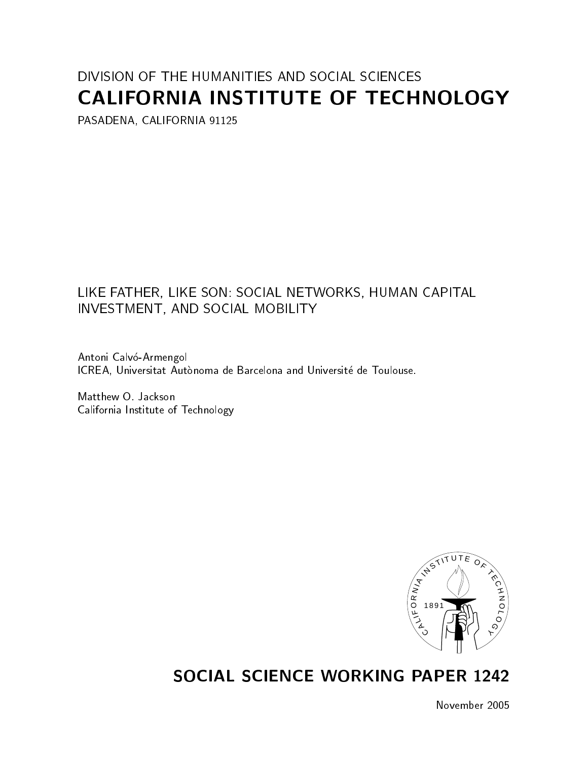# DIVISION OF THE HUMANITIES AND SOCIAL SCIENCES CALIFORNIA INSTITUTE OF TECHNOLOGY

PASADENA, CALIFORNIA 91125

## LIKE FATHER, LIKE SON: SOCIAL NETWORKS, HUMAN CAPITAL INVESTMENT, AND SOCIAL MOBILITY

Antoni Calvó-Armengol ICREA, Universitat Autònoma de Barcelona and Université de Toulouse.

Matthew O. Jackson California Institute of Technology



# SOCIAL SCIENCE WORKING PAPER 1242

November 2005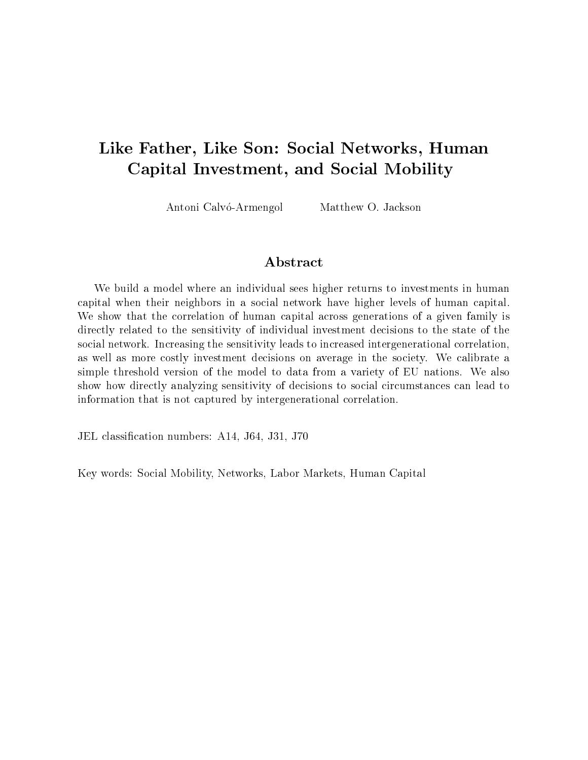## Like Father, Like Son: Social Networks, Human Capital Investment, and Social Mobility

Antoni Calvó-Armengol Matthew O. Jackson

## Abstract

We build a model where an individual sees higher returns to investments in human capital when their neighbors in a social network have higher levels of human capital. We show that the correlation of human capital across generations of a given family is directly related to the sensitivity of individual investment decisions to the state of the social network. Increasing the sensitivity leads to increased intergenerational correlation, as well as more costly investment decisions on average in the society. We calibrate a simple threshold version of the model to data from a variety of EU nations. We also show how directly analyzing sensitivity of decisions to social circumstances can lead to information that is not captured by intergenerational correlation.

JEL classication numbers: A14, J64, J31, J70

Key words: Social Mobility, Networks, Labor Markets, Human Capital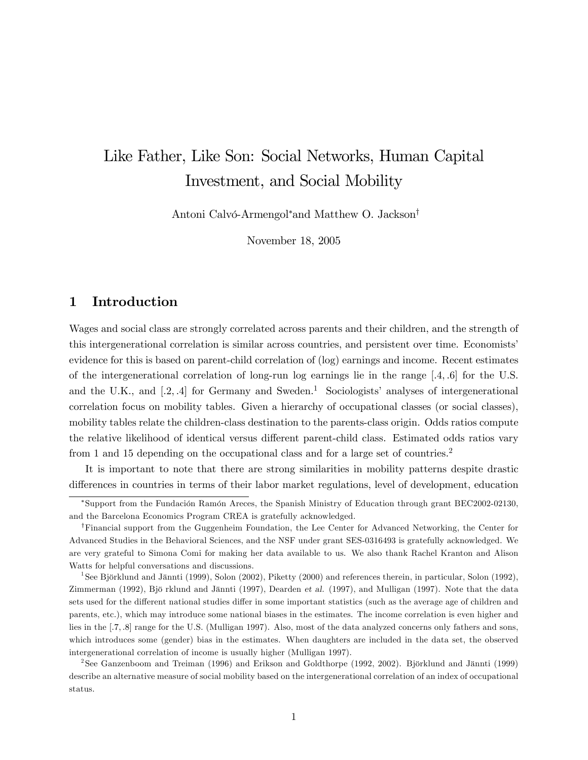# Like Father, Like Son: Social Networks, Human Capital Investment, and Social Mobility

Antoni Calvó-Armengol<sup>\*</sup> and Matthew O. Jackson<sup>†</sup>

November 18, 2005

## 1 Introduction

Wages and social class are strongly correlated across parents and their children, and the strength of this intergenerational correlation is similar across countries, and persistent over time. Economistsí evidence for this is based on parent-child correlation of (log) earnings and income. Recent estimates of the intergenerational correlation of long-run log earnings lie in the range  $[.4, .6]$  for the U.S. and the U.K., and  $[.2, .4]$  for Germany and Sweden.<sup>1</sup> Sociologists' analyses of intergenerational correlation focus on mobility tables. Given a hierarchy of occupational classes (or social classes), mobility tables relate the children-class destination to the parents-class origin. Odds ratios compute the relative likelihood of identical versus different parent-child class. Estimated odds ratios vary from 1 and 15 depending on the occupational class and for a large set of countries.<sup>2</sup>

It is important to note that there are strong similarities in mobility patterns despite drastic differences in countries in terms of their labor market regulations, level of development, education

<sup>\*</sup>Support from the Fundación Ramón Areces, the Spanish Ministry of Education through grant BEC2002-02130, and the Barcelona Economics Program CREA is gratefully acknowledged.

<sup>&</sup>lt;sup>†</sup>Financial support from the Guggenheim Foundation, the Lee Center for Advanced Networking, the Center for Advanced Studies in the Behavioral Sciences, and the NSF under grant SES-0316493 is gratefully acknowledged. We are very grateful to Simona Comi for making her data available to us. We also thank Rachel Kranton and Alison Watts for helpful conversations and discussions.

<sup>&</sup>lt;sup>1</sup>See Björklund and Jännti (1999), Solon (2002), Piketty (2000) and references therein, in particular, Solon (1992), Zimmerman (1992), Bjö rklund and Jännti (1997), Dearden et al. (1997), and Mulligan (1997). Note that the data sets used for the different national studies differ in some important statistics (such as the average age of children and parents, etc.), which may introduce some national biases in the estimates. The income correlation is even higher and lies in the [.7, .8] range for the U.S. (Mulligan 1997). Also, most of the data analyzed concerns only fathers and sons, which introduces some (gender) bias in the estimates. When daughters are included in the data set, the observed intergenerational correlation of income is usually higher (Mulligan 1997).

<sup>&</sup>lt;sup>2</sup>See Ganzenboom and Treiman (1996) and Erikson and Goldthorpe (1992, 2002). Björklund and Jännti (1999) describe an alternative measure of social mobility based on the intergenerational correlation of an index of occupational status.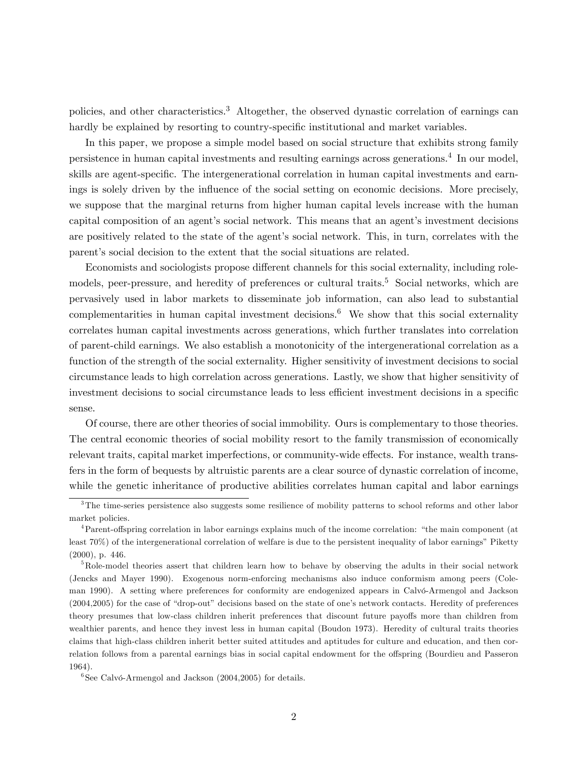policies, and other characteristics.<sup>3</sup> Altogether, the observed dynastic correlation of earnings can hardly be explained by resorting to country-specific institutional and market variables.

In this paper, we propose a simple model based on social structure that exhibits strong family persistence in human capital investments and resulting earnings across generations.<sup>4</sup> In our model, skills are agent-specific. The intergenerational correlation in human capital investments and earnings is solely driven by the influence of the social setting on economic decisions. More precisely, we suppose that the marginal returns from higher human capital levels increase with the human capital composition of an agent's social network. This means that an agent's investment decisions are positively related to the state of the agent's social network. This, in turn, correlates with the parent's social decision to the extent that the social situations are related.

Economists and sociologists propose different channels for this social externality, including rolemodels, peer-pressure, and heredity of preferences or cultural traits.<sup>5</sup> Social networks, which are pervasively used in labor markets to disseminate job information, can also lead to substantial complementarities in human capital investment decisions.<sup>6</sup> We show that this social externality correlates human capital investments across generations, which further translates into correlation of parent-child earnings. We also establish a monotonicity of the intergenerational correlation as a function of the strength of the social externality. Higher sensitivity of investment decisions to social circumstance leads to high correlation across generations. Lastly, we show that higher sensitivity of investment decisions to social circumstance leads to less efficient investment decisions in a specific sense.

Of course, there are other theories of social immobility. Ours is complementary to those theories. The central economic theories of social mobility resort to the family transmission of economically relevant traits, capital market imperfections, or community-wide effects. For instance, wealth transfers in the form of bequests by altruistic parents are a clear source of dynastic correlation of income, while the genetic inheritance of productive abilities correlates human capital and labor earnings

<sup>&</sup>lt;sup>3</sup>The time-series persistence also suggests some resilience of mobility patterns to school reforms and other labor market policies.

<sup>&</sup>lt;sup>4</sup>Parent-offspring correlation in labor earnings explains much of the income correlation: "the main component (at least  $70\%$ ) of the intergenerational correlation of welfare is due to the persistent inequality of labor earnings" Piketty (2000), p. 446.

<sup>&</sup>lt;sup>5</sup>Role-model theories assert that children learn how to behave by observing the adults in their social network (Jencks and Mayer 1990). Exogenous norm-enforcing mechanisms also induce conformism among peers (Coleman 1990). A setting where preferences for conformity are endogenized appears in Calvó-Armengol and Jackson  $(2004,2005)$  for the case of "drop-out" decisions based on the state of one's network contacts. Heredity of preferences theory presumes that low-class children inherit preferences that discount future payoffs more than children from wealthier parents, and hence they invest less in human capital (Boudon 1973). Heredity of cultural traits theories claims that high-class children inherit better suited attitudes and aptitudes for culture and education, and then correlation follows from a parental earnings bias in social capital endowment for the offspring (Bourdieu and Passeron 1964).

 ${}^{6}$ See Calvó-Armengol and Jackson (2004,2005) for details.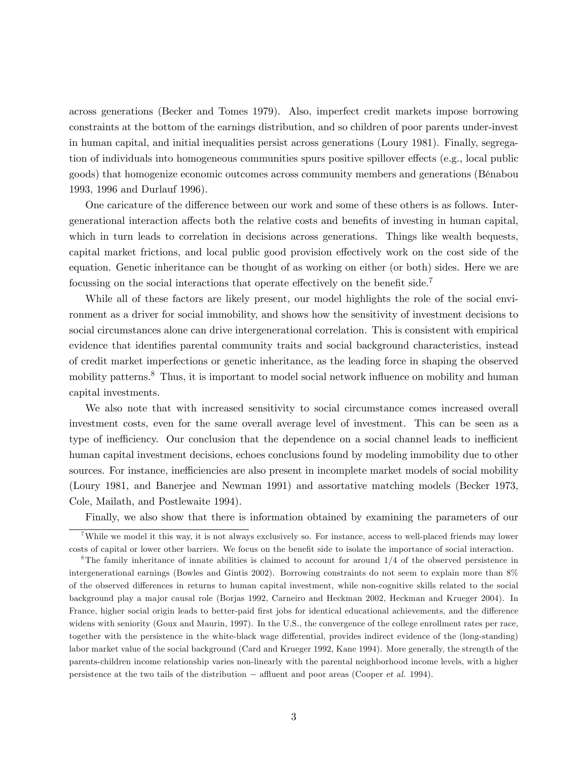across generations (Becker and Tomes 1979). Also, imperfect credit markets impose borrowing constraints at the bottom of the earnings distribution, and so children of poor parents under-invest in human capital, and initial inequalities persist across generations (Loury 1981). Finally, segregation of individuals into homogeneous communities spurs positive spillover effects (e.g., local public goods) that homogenize economic outcomes across community members and generations (BÈnabou 1993, 1996 and Durlauf 1996).

One caricature of the difference between our work and some of these others is as follows. Intergenerational interaction affects both the relative costs and benefits of investing in human capital, which in turn leads to correlation in decisions across generations. Things like wealth bequests, capital market frictions, and local public good provision effectively work on the cost side of the equation. Genetic inheritance can be thought of as working on either (or both) sides. Here we are focussing on the social interactions that operate effectively on the benefit side.<sup>7</sup>

While all of these factors are likely present, our model highlights the role of the social environment as a driver for social immobility, and shows how the sensitivity of investment decisions to social circumstances alone can drive intergenerational correlation. This is consistent with empirical evidence that identifies parental community traits and social background characteristics, instead of credit market imperfections or genetic inheritance, as the leading force in shaping the observed mobility patterns.<sup>8</sup> Thus, it is important to model social network influence on mobility and human capital investments.

We also note that with increased sensitivity to social circumstance comes increased overall investment costs, even for the same overall average level of investment. This can be seen as a type of inefficiency. Our conclusion that the dependence on a social channel leads to inefficient human capital investment decisions, echoes conclusions found by modeling immobility due to other sources. For instance, inefficiencies are also present in incomplete market models of social mobility (Loury 1981, and Banerjee and Newman 1991) and assortative matching models (Becker 1973, Cole, Mailath, and Postlewaite 1994).

Finally, we also show that there is information obtained by examining the parameters of our

<sup>7</sup>While we model it this way, it is not always exclusively so. For instance, access to well-placed friends may lower costs of capital or lower other barriers. We focus on the benefit side to isolate the importance of social interaction.

 ${}^8$ The family inheritance of innate abilities is claimed to account for around  $1/4$  of the observed persistence in intergenerational earnings (Bowles and Gintis 2002). Borrowing constraints do not seem to explain more than 8% of the observed differences in returns to human capital investment, while non-cognitive skills related to the social background play a major causal role (Borjas 1992, Carneiro and Heckman 2002, Heckman and Krueger 2004). In France, higher social origin leads to better-paid first jobs for identical educational achievements, and the difference widens with seniority (Goux and Maurin, 1997). In the U.S., the convergence of the college enrollment rates per race, together with the persistence in the white-black wage differential, provides indirect evidence of the (long-standing) labor market value of the social background (Card and Krueger 1992, Kane 1994). More generally, the strength of the parents-children income relationship varies non-linearly with the parental neighborhood income levels, with a higher persistence at the two tails of the distribution  $-$  affluent and poor areas (Cooper et al. 1994).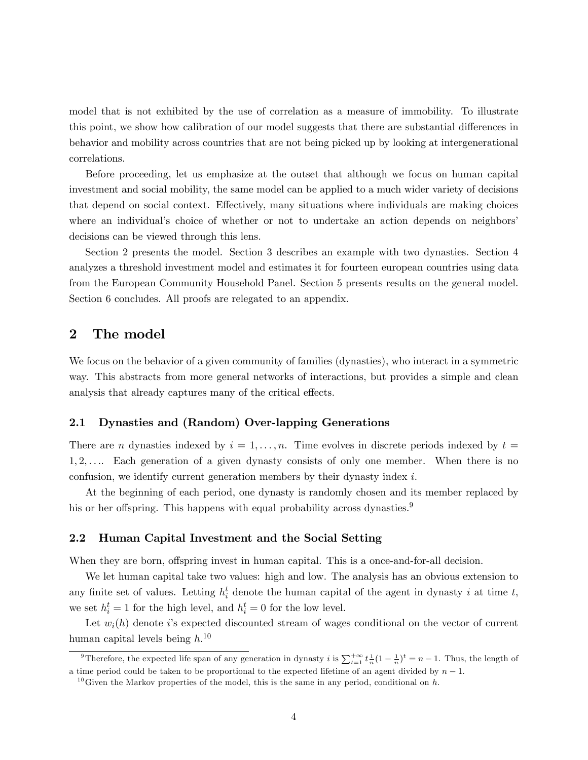model that is not exhibited by the use of correlation as a measure of immobility. To illustrate this point, we show how calibration of our model suggests that there are substantial differences in behavior and mobility across countries that are not being picked up by looking at intergenerational correlations.

Before proceeding, let us emphasize at the outset that although we focus on human capital investment and social mobility, the same model can be applied to a much wider variety of decisions that depend on social context. Effectively, many situations where individuals are making choices where an individual's choice of whether or not to undertake an action depends on neighbors' decisions can be viewed through this lens.

Section 2 presents the model. Section 3 describes an example with two dynasties. Section 4 analyzes a threshold investment model and estimates it for fourteen european countries using data from the European Community Household Panel. Section 5 presents results on the general model. Section 6 concludes. All proofs are relegated to an appendix.

## 2 The model

We focus on the behavior of a given community of families (dynasties), who interact in a symmetric way. This abstracts from more general networks of interactions, but provides a simple and clean analysis that already captures many of the critical effects.

### 2.1 Dynasties and (Random) Over-lapping Generations

There are n dynasties indexed by  $i = 1, \ldots, n$ . Time evolves in discrete periods indexed by  $t =$  $1, 2, \ldots$  Each generation of a given dynasty consists of only one member. When there is no confusion, we identify current generation members by their dynasty index i.

At the beginning of each period, one dynasty is randomly chosen and its member replaced by his or her offspring. This happens with equal probability across dynasties.<sup>9</sup>

#### 2.2 Human Capital Investment and the Social Setting

When they are born, offspring invest in human capital. This is a once-and-for-all decision.

We let human capital take two values: high and low. The analysis has an obvious extension to any finite set of values. Letting  $h_i^t$  denote the human capital of the agent in dynasty i at time t, we set  $h_i^t = 1$  for the high level, and  $h_i^t = 0$  for the low level.

Let  $w_i(h)$  denote is expected discounted stream of wages conditional on the vector of current human capital levels being  $h^{10}$ 

<sup>&</sup>lt;sup>9</sup>Therefore, the expected life span of any generation in dynasty *i* is  $\sum_{t=1}^{+\infty} t \frac{1}{n} (1 - \frac{1}{n})^t = n - 1$ . Thus, the length of a time period could be taken to be proportional to the expected lifetime of an agent divided by  $n-1$ .

<sup>&</sup>lt;sup>10</sup>Given the Markov properties of the model, this is the same in any period, conditional on h.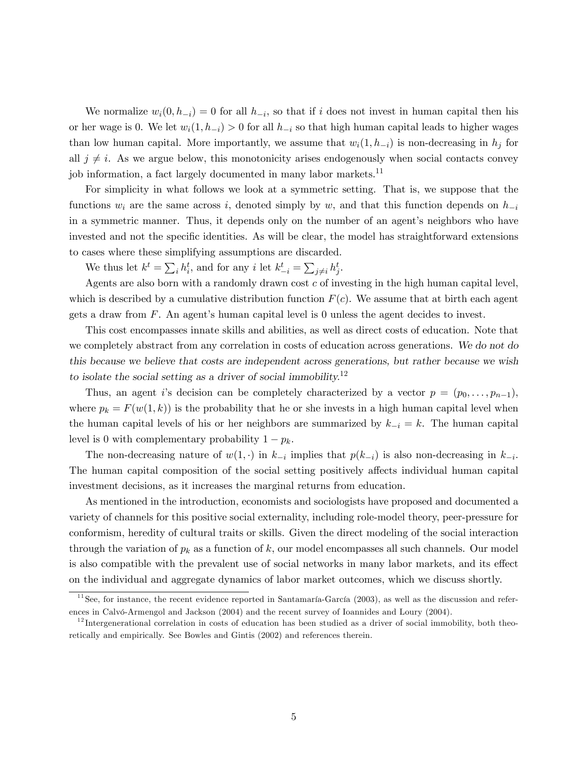We normalize  $w_i(0, h_{-i}) = 0$  for all  $h_{-i}$ , so that if i does not invest in human capital then his or her wage is 0. We let  $w_i(1, h_{-i}) > 0$  for all  $h_{-i}$  so that high human capital leads to higher wages than low human capital. More importantly, we assume that  $w_i(1, h_{-i})$  is non-decreasing in  $h_i$  for all  $j \neq i$ . As we argue below, this monotonicity arises endogenously when social contacts convey job information, a fact largely documented in many labor markets.<sup>11</sup>

For simplicity in what follows we look at a symmetric setting. That is, we suppose that the functions  $w_i$  are the same across i, denoted simply by w, and that this function depends on  $h_{-i}$ in a symmetric manner. Thus, it depends only on the number of an agent's neighbors who have invested and not the specific identities. As will be clear, the model has straightforward extensions to cases where these simplifying assumptions are discarded.

We thus let  $k^t = \sum_i h_i^t$ , and for any *i* let  $k_{-i}^t = \sum_{j \neq i} h_j^t$ .

Agents are also born with a randomly drawn cost  $c$  of investing in the high human capital level, which is described by a cumulative distribution function  $F(c)$ . We assume that at birth each agent gets a draw from  $F$ . An agent's human capital level is 0 unless the agent decides to invest.

This cost encompasses innate skills and abilities, as well as direct costs of education. Note that we completely abstract from any correlation in costs of education across generations. We do not do this because we believe that costs are independent across generations, but rather because we wish to isolate the social setting as a driver of social immobility.<sup>12</sup>

Thus, an agent is decision can be completely characterized by a vector  $p = (p_0, \ldots, p_{n-1}),$ where  $p_k = F(w(1, k))$  is the probability that he or she invests in a high human capital level when the human capital levels of his or her neighbors are summarized by  $k_{-i} = k$ . The human capital level is 0 with complementary probability  $1 - p_k$ .

The non-decreasing nature of  $w(1, \cdot)$  in  $k_{-i}$  implies that  $p(k_{-i})$  is also non-decreasing in  $k_{-i}$ . The human capital composition of the social setting positively affects individual human capital investment decisions, as it increases the marginal returns from education.

As mentioned in the introduction, economists and sociologists have proposed and documented a variety of channels for this positive social externality, including role-model theory, peer-pressure for conformism, heredity of cultural traits or skills. Given the direct modeling of the social interaction through the variation of  $p_k$  as a function of k, our model encompasses all such channels. Our model is also compatible with the prevalent use of social networks in many labor markets, and its effect on the individual and aggregate dynamics of labor market outcomes, which we discuss shortly.

 $11$  See, for instance, the recent evidence reported in Santamaría-García (2003), as well as the discussion and references in Calvó-Armengol and Jackson (2004) and the recent survey of Ioannides and Loury (2004).

 $12$  Intergenerational correlation in costs of education has been studied as a driver of social immobility, both theoretically and empirically. See Bowles and Gintis (2002) and references therein.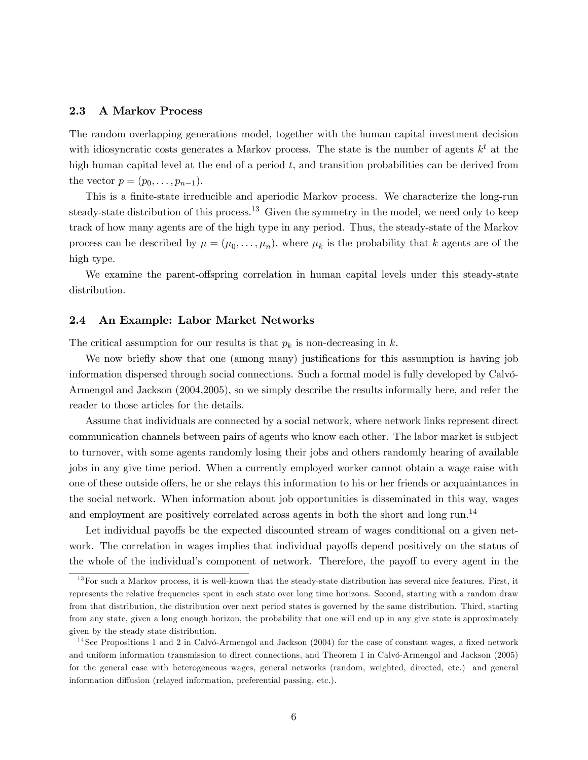#### 2.3 A Markov Process

The random overlapping generations model, together with the human capital investment decision with idiosyncratic costs generates a Markov process. The state is the number of agents  $k^t$  at the high human capital level at the end of a period  $t$ , and transition probabilities can be derived from the vector  $p = (p_0, ..., p_{n-1}).$ 

This is a finite-state irreducible and aperiodic Markov process. We characterize the long-run steady-state distribution of this process.<sup>13</sup> Given the symmetry in the model, we need only to keep track of how many agents are of the high type in any period. Thus, the steady-state of the Markov process can be described by  $\mu = (\mu_0, \dots, \mu_n)$ , where  $\mu_k$  is the probability that k agents are of the high type.

We examine the parent-offspring correlation in human capital levels under this steady-state distribution.

#### 2.4 An Example: Labor Market Networks

The critical assumption for our results is that  $p_k$  is non-decreasing in k.

We now briefly show that one (among many) justifications for this assumption is having job information dispersed through social connections. Such a formal model is fully developed by Calvó-Armengol and Jackson (2004,2005), so we simply describe the results informally here, and refer the reader to those articles for the details.

Assume that individuals are connected by a social network, where network links represent direct communication channels between pairs of agents who know each other. The labor market is subject to turnover, with some agents randomly losing their jobs and others randomly hearing of available jobs in any give time period. When a currently employed worker cannot obtain a wage raise with one of these outside offers, he or she relays this information to his or her friends or acquaintances in the social network. When information about job opportunities is disseminated in this way, wages and employment are positively correlated across agents in both the short and long run.<sup>14</sup>

Let individual payoffs be the expected discounted stream of wages conditional on a given network. The correlation in wages implies that individual payoffs depend positively on the status of the whole of the individual's component of network. Therefore, the payoff to every agent in the

 $13$  For such a Markov process, it is well-known that the steady-state distribution has several nice features. First, it represents the relative frequencies spent in each state over long time horizons. Second, starting with a random draw from that distribution, the distribution over next period states is governed by the same distribution. Third, starting from any state, given a long enough horizon, the probability that one will end up in any give state is approximately given by the steady state distribution.

<sup>&</sup>lt;sup>14</sup>See Propositions 1 and 2 in Calvó-Armengol and Jackson  $(2004)$  for the case of constant wages, a fixed network and uniform information transmission to direct connections, and Theorem 1 in Calvó-Armengol and Jackson (2005) for the general case with heterogeneous wages, general networks (random, weighted, directed, etc.) and general information diffusion (relayed information, preferential passing, etc.).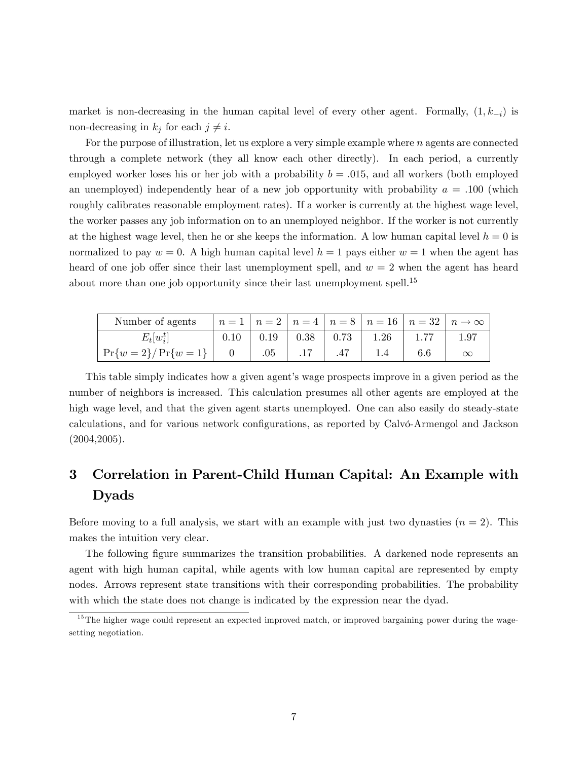market is non-decreasing in the human capital level of every other agent. Formally,  $(1, k_{-i})$  is non-decreasing in  $k_j$  for each  $j \neq i$ .

For the purpose of illustration, let us explore a very simple example where n agents are connected through a complete network (they all know each other directly). In each period, a currently employed worker loses his or her job with a probability  $b = .015$ , and all workers (both employed an unemployed) independently hear of a new job opportunity with probability  $a = .100$  (which roughly calibrates reasonable employment rates). If a worker is currently at the highest wage level, the worker passes any job information on to an unemployed neighbor. If the worker is not currently at the highest wage level, then he or she keeps the information. A low human capital level  $h = 0$  is normalized to pay  $w = 0$ . A high human capital level  $h = 1$  pays either  $w = 1$  when the agent has heard of one job offer since their last unemployment spell, and  $w = 2$  when the agent has heard about more than one job opportunity since their last unemployment spell.<sup>15</sup>

| Number of agents          |      |      |      | $n=1$   $n=2$   $n=4$   $n=8$   $n=16$   $n=32$   $n\rightarrow\infty$ |                  |
|---------------------------|------|------|------|------------------------------------------------------------------------|------------------|
| $E_t w_i^{\iota} $        | 0.19 | 0.38 | 0.73 | 1.26                                                                   | 1.9 <sup>7</sup> |
| $\Pr\{w=2\} / \Pr\{w=1\}$ |      |      |      |                                                                        | $\infty$         |

This table simply indicates how a given agent's wage prospects improve in a given period as the number of neighbors is increased. This calculation presumes all other agents are employed at the high wage level, and that the given agent starts unemployed. One can also easily do steady-state calculations, and for various network configurations, as reported by Calvo-Armengol and Jackson (2004,2005).

## 3 Correlation in Parent-Child Human Capital: An Example with Dyads

Before moving to a full analysis, we start with an example with just two dynasties  $(n = 2)$ . This makes the intuition very clear.

The following figure summarizes the transition probabilities. A darkened node represents an agent with high human capital, while agents with low human capital are represented by empty nodes. Arrows represent state transitions with their corresponding probabilities. The probability with which the state does not change is indicated by the expression near the dyad.

 $15$ The higher wage could represent an expected improved match, or improved bargaining power during the wagesetting negotiation.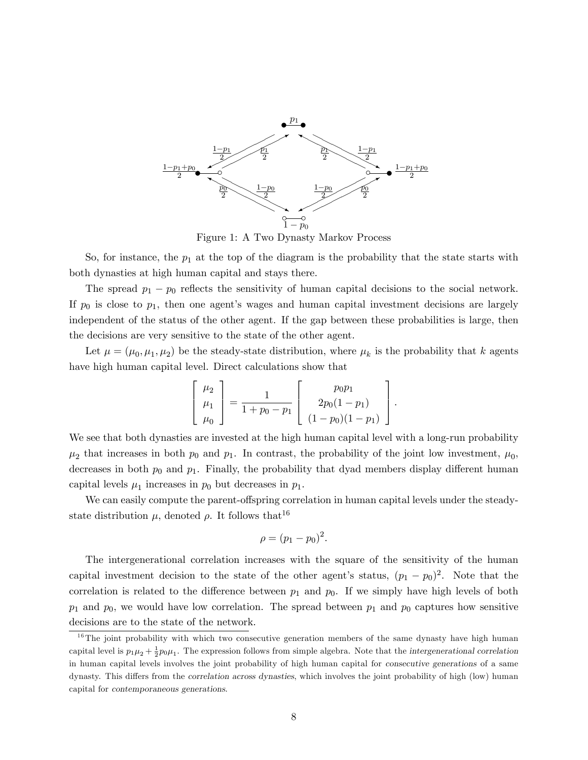

Figure 1: A Two Dynasty Markov Process

So, for instance, the  $p_1$  at the top of the diagram is the probability that the state starts with both dynasties at high human capital and stays there.

The spread  $p_1 - p_0$  reflects the sensitivity of human capital decisions to the social network. If  $p_0$  is close to  $p_1$ , then one agent's wages and human capital investment decisions are largely independent of the status of the other agent. If the gap between these probabilities is large, then the decisions are very sensitive to the state of the other agent.

Let  $\mu = (\mu_0, \mu_1, \mu_2)$  be the steady-state distribution, where  $\mu_k$  is the probability that k agents have high human capital level. Direct calculations show that

$$
\begin{bmatrix} \mu_2 \\ \mu_1 \\ \mu_0 \end{bmatrix} = \frac{1}{1 + p_0 - p_1} \begin{bmatrix} p_0 p_1 \\ 2p_0(1 - p_1) \\ (1 - p_0)(1 - p_1) \end{bmatrix}.
$$

We see that both dynasties are invested at the high human capital level with a long-run probability  $\mu_2$  that increases in both  $p_0$  and  $p_1$ . In contrast, the probability of the joint low investment,  $\mu_0$ , decreases in both  $p_0$  and  $p_1$ . Finally, the probability that dyad members display different human capital levels  $\mu_1$  increases in  $p_0$  but decreases in  $p_1$ .

We can easily compute the parent-offspring correlation in human capital levels under the steadystate distribution  $\mu$ , denoted  $\rho$ . It follows that<sup>16</sup>

$$
\rho=(p_1-p_0)^2.
$$

The intergenerational correlation increases with the square of the sensitivity of the human capital investment decision to the state of the other agent's status,  $(p_1 - p_0)^2$ . Note that the correlation is related to the difference between  $p_1$  and  $p_0$ . If we simply have high levels of both  $p_1$  and  $p_0$ , we would have low correlation. The spread between  $p_1$  and  $p_0$  captures how sensitive decisions are to the state of the network.

 $16$ The joint probability with which two consecutive generation members of the same dynasty have high human capital level is  $p_1\mu_2+\frac{1}{2}p_0\mu_1$ . The expression follows from simple algebra. Note that the intergenerational correlation in human capital levels involves the joint probability of high human capital for consecutive generations of a same dynasty. This differs from the correlation across dynasties, which involves the joint probability of high (low) human capital for contemporaneous generations.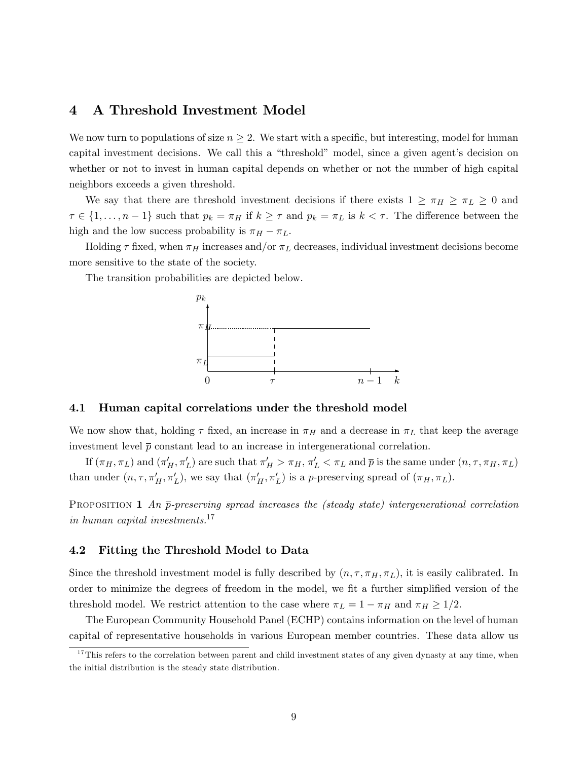## 4 A Threshold Investment Model

We now turn to populations of size  $n \geq 2$ . We start with a specific, but interesting, model for human capital investment decisions. We call this a "threshold" model, since a given agent's decision on whether or not to invest in human capital depends on whether or not the number of high capital neighbors exceeds a given threshold.

We say that there are threshold investment decisions if there exists  $1 \geq \pi_H \geq \pi_L \geq 0$  and  $\tau \in \{1, \ldots, n-1\}$  such that  $p_k = \pi_H$  if  $k \geq \tau$  and  $p_k = \pi_L$  is  $k < \tau$ . The difference between the high and the low success probability is  $\pi_H - \pi_L$ .

Holding  $\tau$  fixed, when  $\pi_H$  increases and/or  $\pi_L$  decreases, individual investment decisions become more sensitive to the state of the society.

The transition probabilities are depicted below.



#### 4.1 Human capital correlations under the threshold model

We now show that, holding  $\tau$  fixed, an increase in  $\pi_H$  and a decrease in  $\pi_L$  that keep the average investment level  $\bar{p}$  constant lead to an increase in intergenerational correlation.

If  $(\pi_H, \pi_L)$  and  $(\pi'_H, \pi'_L)$  are such that  $\pi'_H > \pi_H, \pi'_L < \pi_L$  and  $\bar{p}$  is the same under  $(n, \tau, \pi_H, \pi_L)$ than under  $(n, \tau, \pi'_H, \pi'_L)$ , we say that  $(\pi'_H, \pi'_L)$  is a  $\bar{p}$ -preserving spread of  $(\pi_H, \pi_L)$ .

**PROPOSITION 1** An  $\bar{p}$ -preserving spread increases the (steady state) intergenerational correlation in human capital investments.<sup>17</sup>

#### 4.2 Fitting the Threshold Model to Data

Since the threshold investment model is fully described by  $(n, \tau, \pi_H, \pi_L)$ , it is easily calibrated. In order to minimize the degrees of freedom in the model, we fit a further simplified version of the threshold model. We restrict attention to the case where  $\pi_L = 1 - \pi_H$  and  $\pi_H \geq 1/2$ .

The European Community Household Panel (ECHP) contains information on the level of human capital of representative households in various European member countries. These data allow us

 $17$ This refers to the correlation between parent and child investment states of any given dynasty at any time, when the initial distribution is the steady state distribution.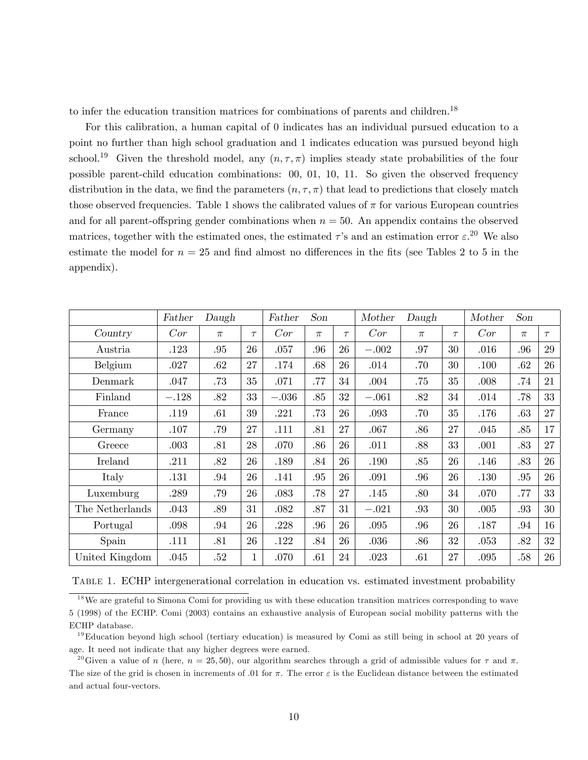to infer the education transition matrices for combinations of parents and children.<sup>18</sup>

For this calibration, a human capital of 0 indicates has an individual pursued education to a point no further than high school graduation and 1 indicates education was pursued beyond high school.<sup>19</sup> Given the threshold model, any  $(n, \tau, \pi)$  implies steady state probabilities of the four possible parent-child education combinations:  $00, 01, 10, 11$ . So given the observed frequency distribution in the data, we find the parameters  $(n, \tau, \pi)$  that lead to predictions that closely match those observed frequencies. Table 1 shows the calibrated values of  $\pi$  for various European countries and for all parent-offspring gender combinations when  $n = 50$ . An appendix contains the observed matrices, together with the estimated ones, the estimated  $\tau$ 's and an estimation error  $\varepsilon$ <sup>20</sup>. We also estimate the model for  $n = 25$  and find almost no differences in the fits (see Tables 2 to 5 in the appendix).

|                 | Father  | Daugh |              | Father  | Son   |        | Mother  | Daugh |        | Mother | Son   |        |
|-----------------|---------|-------|--------------|---------|-------|--------|---------|-------|--------|--------|-------|--------|
| Country         | Cor     | $\pi$ | $\tau$       | Cor     | $\pi$ | $\tau$ | Cor     | $\pi$ | $\tau$ | Cor    | $\pi$ | $\tau$ |
| Austria         | .123    | .95   | 26           | .057    | .96   | 26     | $-.002$ | .97   | 30     | .016   | .96   | 29     |
| Belgium         | .027    | .62   | 27           | .174    | .68   | 26     | .014    | .70   | 30     | .100   | .62   | 26     |
| Denmark         | .047    | .73   | 35           | .071    | .77   | 34     | .004    | .75   | 35     | .008   | .74   | 21     |
| Finland         | $-.128$ | .82   | 33           | $-.036$ | .85   | 32     | $-.061$ | .82   | 34     | .014   | .78   | 33     |
| France          | .119    | .61   | 39           | .221    | .73   | 26     | .093    | .70   | 35     | .176   | .63   | 27     |
| Germany         | .107    | .79   | 27           | .111    | .81   | 27     | .067    | .86   | 27     | .045   | .85   | 17     |
| Greece          | .003    | .81   | 28           | .070    | .86   | 26     | .011    | .88   | 33     | .001   | .83   | 27     |
| Ireland         | .211    | .82   | 26           | .189    | .84   | 26     | .190    | .85   | 26     | .146   | .83   | 26     |
| Italy           | .131    | .94   | 26           | .141    | .95   | 26     | .091    | .96   | 26     | .130   | .95   | 26     |
| Luxemburg       | .289    | .79   | 26           | .083    | .78   | $27\,$ | .145    | .80   | 34     | .070   | .77   | 33     |
| The Netherlands | .043    | .89   | 31           | .082    | .87   | 31     | $-.021$ | .93   | 30     | .005   | .93   | 30     |
| Portugal        | .098    | .94   | 26           | .228    | .96   | 26     | .095    | .96   | 26     | .187   | .94   | 16     |
| Spain           | .111    | .81   | 26           | .122    | .84   | 26     | .036    | .86   | 32     | .053   | .82   | 32     |
| United Kingdom  | .045    | .52   | $\mathbf{1}$ | .070    | .61   | 24     | .023    | .61   | 27     | .095   | .58   | 26     |

|  | TABLE 1. ECHP intergenerational correlation in education vs. estimated investment probability |  |  |  |  |
|--|-----------------------------------------------------------------------------------------------|--|--|--|--|
|  |                                                                                               |  |  |  |  |

<sup>&</sup>lt;sup>18</sup>We are grateful to Simona Comi for providing us with these education transition matrices corresponding to wave 5 (1998) of the ECHP. Comi (2003) contains an exhaustive analysis of European social mobility patterns with the ECHP database.

 $^{19}$ Education beyond high school (tertiary education) is measured by Comi as still being in school at 20 years of age. It need not indicate that any higher degrees were earned.

<sup>&</sup>lt;sup>20</sup>Given a value of n (here,  $n = 25,50$ ), our algorithm searches through a grid of admissible values for  $\tau$  and  $\pi$ . The size of the grid is chosen in increments of .01 for  $\pi$ . The error  $\varepsilon$  is the Euclidean distance between the estimated and actual four-vectors.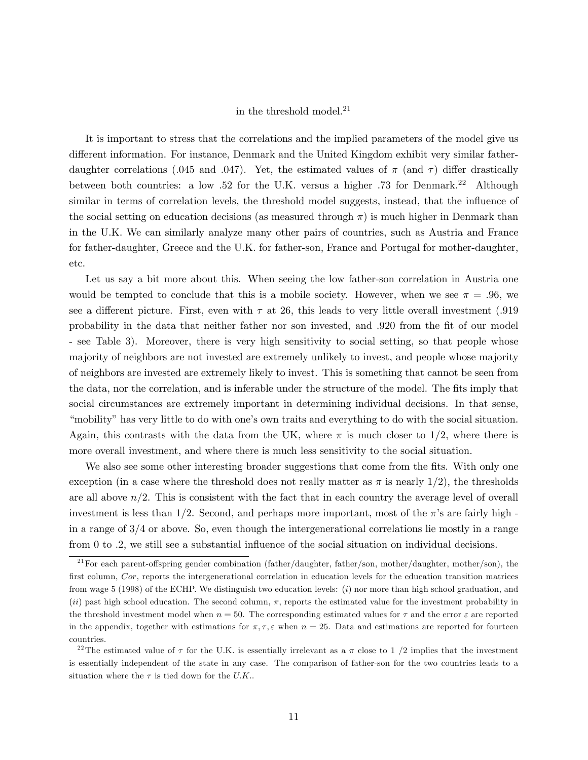### in the threshold model. $21$

It is important to stress that the correlations and the implied parameters of the model give us different information. For instance, Denmark and the United Kingdom exhibit very similar fatherdaughter correlations (.045 and .047). Yet, the estimated values of  $\pi$  (and  $\tau$ ) differ drastically between both countries: a low .52 for the U.K. versus a higher .73 for Denmark.<sup>22</sup> Although similar in terms of correlation levels, the threshold model suggests, instead, that the influence of the social setting on education decisions (as measured through  $\pi$ ) is much higher in Denmark than in the U.K. We can similarly analyze many other pairs of countries, such as Austria and France for father-daughter, Greece and the U.K. for father-son, France and Portugal for mother-daughter, etc.

Let us say a bit more about this. When seeing the low father-son correlation in Austria one would be tempted to conclude that this is a mobile society. However, when we see  $\pi = .96$ , we see a different picture. First, even with  $\tau$  at 26, this leads to very little overall investment (.919) probability in the data that neither father nor son invested, and .920 from the fit of our model - see Table 3). Moreover, there is very high sensitivity to social setting, so that people whose majority of neighbors are not invested are extremely unlikely to invest, and people whose majority of neighbors are invested are extremely likely to invest. This is something that cannot be seen from the data, nor the correlation, and is inferable under the structure of the model. The fits imply that social circumstances are extremely important in determining individual decisions. In that sense, ìmobilityîhas very little to do with oneís own traits and everything to do with the social situation. Again, this contrasts with the data from the UK, where  $\pi$  is much closer to 1/2, where there is more overall investment, and where there is much less sensitivity to the social situation.

We also see some other interesting broader suggestions that come from the fits. With only one exception (in a case where the threshold does not really matter as  $\pi$  is nearly 1/2), the thresholds are all above  $n/2$ . This is consistent with the fact that in each country the average level of overall investment is less than 1/2. Second, and perhaps more important, most of the  $\pi$ 's are fairly high in a range of 3/4 or above. So, even though the intergenerational correlations lie mostly in a range from  $0$  to  $.2$ , we still see a substantial influence of the social situation on individual decisions.

<sup>&</sup>lt;sup>21</sup> For each parent-offspring gender combination (father/daughter, father/son, mother/daughter, mother/son), the first column,  $Cor$ , reports the intergenerational correlation in education levels for the education transition matrices from wage 5 (1998) of the ECHP. We distinguish two education levels: (i) nor more than high school graduation, and (ii) past high school education. The second column,  $\pi$ , reports the estimated value for the investment probability in the threshold investment model when  $n = 50$ . The corresponding estimated values for  $\tau$  and the error  $\varepsilon$  are reported in the appendix, together with estimations for  $\pi, \tau, \varepsilon$  when  $n = 25$ . Data and estimations are reported for fourteen countries.

<sup>&</sup>lt;sup>22</sup>The estimated value of  $\tau$  for the U.K. is essentially irrelevant as a  $\pi$  close to 1 /2 implies that the investment is essentially independent of the state in any case. The comparison of father-son for the two countries leads to a situation where the  $\tau$  is tied down for the U.K..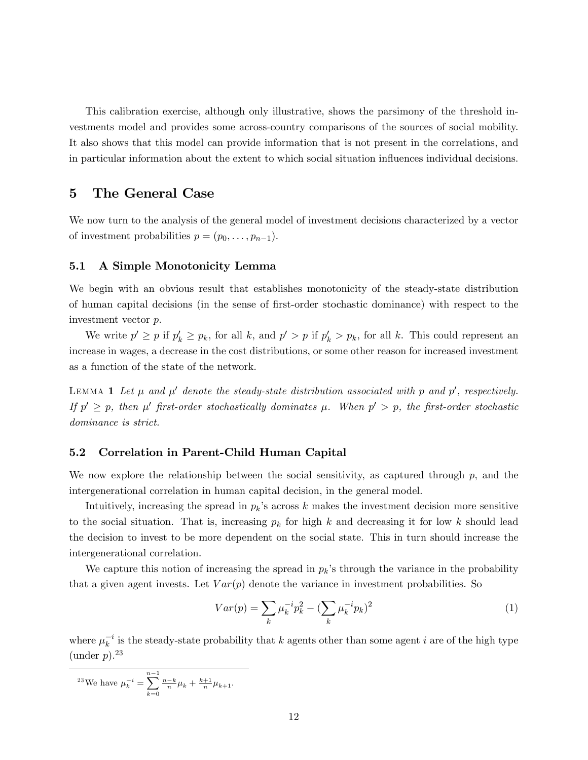This calibration exercise, although only illustrative, shows the parsimony of the threshold investments model and provides some across-country comparisons of the sources of social mobility. It also shows that this model can provide information that is not present in the correlations, and in particular information about the extent to which social situation influences individual decisions.

### 5 The General Case

We now turn to the analysis of the general model of investment decisions characterized by a vector of investment probabilities  $p = (p_0, \ldots, p_{n-1}).$ 

### 5.1 A Simple Monotonicity Lemma

We begin with an obvious result that establishes monotonicity of the steady-state distribution of human capital decisions (in the sense of Örst-order stochastic dominance) with respect to the investment vector p.

We write  $p' \geq p$  if  $p'_k \geq p_k$ , for all k, and  $p' > p$  if  $p'_k > p_k$ , for all k. This could represent an increase in wages, a decrease in the cost distributions, or some other reason for increased investment as a function of the state of the network.

LEMMA 1 Let  $\mu$  and  $\mu'$  denote the steady-state distribution associated with p and p', respectively. If  $p' \geq p$ , then  $\mu'$  first-order stochastically dominates  $\mu$ . When  $p' > p$ , the first-order stochastic dominance is strict.

#### 5.2 Correlation in Parent-Child Human Capital

We now explore the relationship between the social sensitivity, as captured through  $p$ , and the intergenerational correlation in human capital decision, in the general model.

Intuitively, increasing the spread in  $p_k$ 's across k makes the investment decision more sensitive to the social situation. That is, increasing  $p_k$  for high k and decreasing it for low k should lead the decision to invest to be more dependent on the social state. This in turn should increase the intergenerational correlation.

We capture this notion of increasing the spread in  $p_k$ 's through the variance in the probability that a given agent invests. Let  $Var(p)$  denote the variance in investment probabilities. So

$$
Var(p) = \sum_{k} \mu_k^{-i} p_k^2 - (\sum_{k} \mu_k^{-i} p_k)^2
$$
 (1)

where  $\mu_k^{-i}$  is the steady-state probability that k agents other than some agent i are of the high type (under  $p$ ).<sup>23</sup>

$$
^{23}\text{We have }\mu_k^{-i}=\sum_{k=0}^{n-1}\tfrac{n-k}{n}\mu_k+\tfrac{k+1}{n}\mu_{k+1}.
$$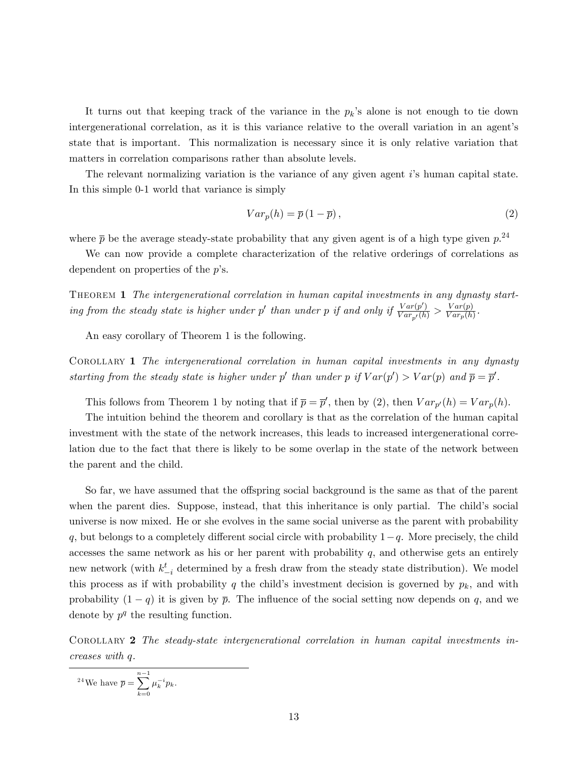It turns out that keeping track of the variance in the  $p_k$ 's alone is not enough to tie down intergenerational correlation, as it is this variance relative to the overall variation in an agent's state that is important. This normalization is necessary since it is only relative variation that matters in correlation comparisons rather than absolute levels.

The relevant normalizing variation is the variance of any given agent is human capital state. In this simple 0-1 world that variance is simply

$$
Var_p(h) = \overline{p}(1 - \overline{p}),
$$
\n(2)

where  $\bar{p}$  be the average steady-state probability that any given agent is of a high type given  $p^{24}$ 

We can now provide a complete characterization of the relative orderings of correlations as dependent on properties of the  $p$ 's.

THEOREM 1 The intergenerational correlation in human capital investments in any dynasty starting from the steady state is higher under p' than under p if and only if  $\frac{Var(p')}{Var_{p'}(h)} > \frac{Var(p)}{Var_p(h)}$  $\frac{Var(p)}{Var_p(h)}$ .

An easy corollary of Theorem 1 is the following.

COROLLARY 1 The intergenerational correlation in human capital investments in any dynasty starting from the steady state is higher under p' than under p if  $Var(p') > Var(p)$  and  $\overline{p} = \overline{p}'$ .

This follows from Theorem 1 by noting that if  $\bar{p} = \bar{p}'$ , then by (2), then  $Var_{p'}(h) = Var_{p}(h)$ .

The intuition behind the theorem and corollary is that as the correlation of the human capital investment with the state of the network increases, this leads to increased intergenerational correlation due to the fact that there is likely to be some overlap in the state of the network between the parent and the child.

So far, we have assumed that the offspring social background is the same as that of the parent when the parent dies. Suppose, instead, that this inheritance is only partial. The child's social universe is now mixed. He or she evolves in the same social universe as the parent with probability q, but belongs to a completely different social circle with probability  $1-q$ . More precisely, the child accesses the same network as his or her parent with probability  $q$ , and otherwise gets an entirely new network (with  $k_{-i}^t$  determined by a fresh draw from the steady state distribution). We model this process as if with probability q the child's investment decision is governed by  $p_k$ , and with probability  $(1 - q)$  it is given by  $\bar{p}$ . The influence of the social setting now depends on q, and we denote by  $p^q$  the resulting function.

COROLLARY 2 The steady-state intergenerational correlation in human capital investments increases with q.

$$
^{24}\text{We have }\overline{p}=\sum_{k=0}^{n-1}\mu_k^{-i}p_k.
$$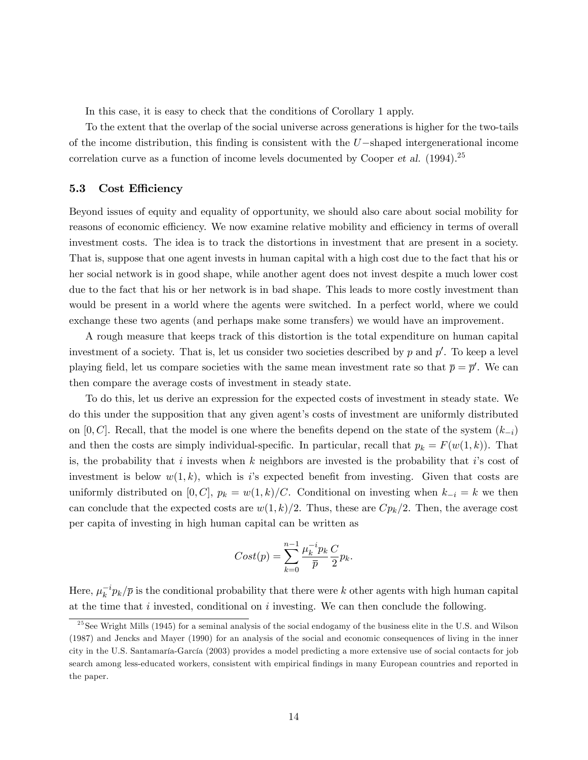In this case, it is easy to check that the conditions of Corollary 1 apply.

To the extent that the overlap of the social universe across generations is higher for the two-tails of the income distribution, this finding is consistent with the  $U$ -shaped intergenerational income correlation curve as a function of income levels documented by Cooper et al.  $(1994)$ <sup>25</sup>

#### 5.3 Cost Efficiency

Beyond issues of equity and equality of opportunity, we should also care about social mobility for reasons of economic efficiency. We now examine relative mobility and efficiency in terms of overall investment costs. The idea is to track the distortions in investment that are present in a society. That is, suppose that one agent invests in human capital with a high cost due to the fact that his or her social network is in good shape, while another agent does not invest despite a much lower cost due to the fact that his or her network is in bad shape. This leads to more costly investment than would be present in a world where the agents were switched. In a perfect world, where we could exchange these two agents (and perhaps make some transfers) we would have an improvement.

A rough measure that keeps track of this distortion is the total expenditure on human capital investment of a society. That is, let us consider two societies described by  $p$  and  $p'$ . To keep a level playing field, let us compare societies with the same mean investment rate so that  $\bar{p} = \bar{p}'$ . We can then compare the average costs of investment in steady state.

To do this, let us derive an expression for the expected costs of investment in steady state. We do this under the supposition that any given agentís costs of investment are uniformly distributed on [0, C]. Recall, that the model is one where the benefits depend on the state of the system  $(k_{-i})$ and then the costs are simply individual-specific. In particular, recall that  $p_k = F(w(1, k))$ . That is, the probability that i invests when k neighbors are invested is the probability that i's cost of investment is below  $w(1, k)$ , which is is expected benefit from investing. Given that costs are uniformly distributed on [0, C],  $p_k = w(1, k)/C$ . Conditional on investing when  $k_{-i} = k$  we then can conclude that the expected costs are  $w(1,k)/2$ . Thus, these are  $Cp_k/2$ . Then, the average cost per capita of investing in high human capital can be written as

$$
Cost(p) = \sum_{k=0}^{n-1} \frac{\mu_k^{-i} p_k}{\overline{p}} \frac{C}{2} p_k.
$$

Here,  $\mu_k^{-i} p_k / \bar{p}$  is the conditional probability that there were k other agents with high human capital at the time that  $i$  invested, conditional on  $i$  investing. We can then conclude the following.

 $^{25}$ See Wright Mills (1945) for a seminal analysis of the social endogamy of the business elite in the U.S. and Wilson (1987) and Jencks and Mayer (1990) for an analysis of the social and economic consequences of living in the inner city in the U.S. Santamaría-García (2003) provides a model predicting a more extensive use of social contacts for job search among less-educated workers, consistent with empirical findings in many European countries and reported in the paper.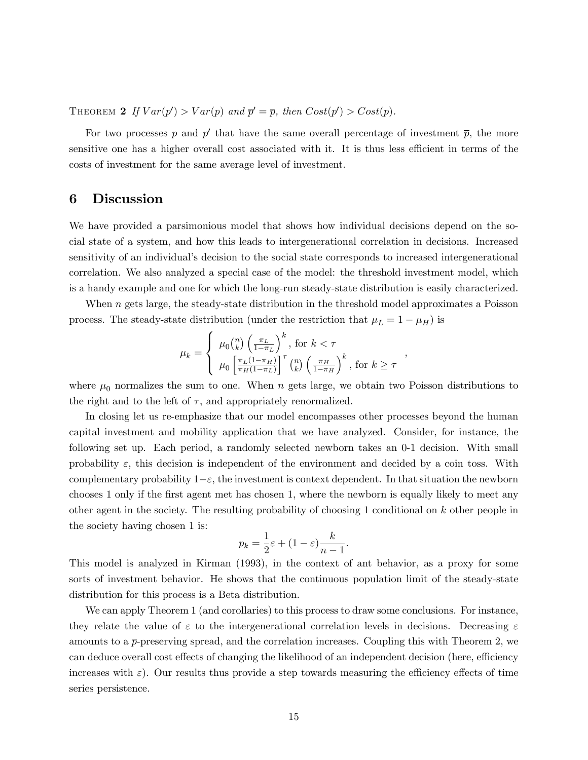THEOREM 2 If  $Var(p') > Var(p)$  and  $\overline{p}' = \overline{p}$ , then  $Cost(p') > Cost(p)$ .

For two processes p and p' that have the same overall percentage of investment  $\bar{p}$ , the more sensitive one has a higher overall cost associated with it. It is thus less efficient in terms of the costs of investment for the same average level of investment.

## 6 Discussion

We have provided a parsimonious model that shows how individual decisions depend on the social state of a system, and how this leads to intergenerational correlation in decisions. Increased sensitivity of an individual's decision to the social state corresponds to increased intergenerational correlation. We also analyzed a special case of the model: the threshold investment model, which is a handy example and one for which the long-run steady-state distribution is easily characterized.

When  $n$  gets large, the steady-state distribution in the threshold model approximates a Poisson process. The steady-state distribution (under the restriction that  $\mu_L = 1 - \mu_H$ ) is

$$
\mu_k = \begin{cases} \mu_0 {n \choose k} \left(\frac{\pi_L}{1-\pi_L}\right)^k, \text{ for } k < \tau \\ \mu_0 \left[\frac{\pi_L (1-\pi_H)}{\pi_H (1-\pi_L)}\right]^\tau {n \choose k} \left(\frac{\pi_H}{1-\pi_H}\right)^k, \text{ for } k \ge \tau \end{cases}
$$

;

where  $\mu_0$  normalizes the sum to one. When n gets large, we obtain two Poisson distributions to the right and to the left of  $\tau$ , and appropriately renormalized.

In closing let us re-emphasize that our model encompasses other processes beyond the human capital investment and mobility application that we have analyzed. Consider, for instance, the following set up. Each period, a randomly selected newborn takes an 0-1 decision. With small probability  $\varepsilon$ , this decision is independent of the environment and decided by a coin toss. With complementary probability  $1-\varepsilon$ , the investment is context dependent. In that situation the newborn chooses 1 only if the first agent met has chosen 1, where the newborn is equally likely to meet any other agent in the society. The resulting probability of choosing 1 conditional on k other people in the society having chosen 1 is:

$$
p_k = \frac{1}{2}\varepsilon + (1 - \varepsilon)\frac{k}{n-1}.
$$

This model is analyzed in Kirman (1993), in the context of ant behavior, as a proxy for some sorts of investment behavior. He shows that the continuous population limit of the steady-state distribution for this process is a Beta distribution.

We can apply Theorem 1 (and corollaries) to this process to draw some conclusions. For instance, they relate the value of  $\varepsilon$  to the intergenerational correlation levels in decisions. Decreasing  $\varepsilon$ amounts to a  $\bar{p}$ -preserving spread, and the correlation increases. Coupling this with Theorem 2, we can deduce overall cost effects of changing the likelihood of an independent decision (here, efficiency increases with  $\varepsilon$ ). Our results thus provide a step towards measuring the efficiency effects of time series persistence.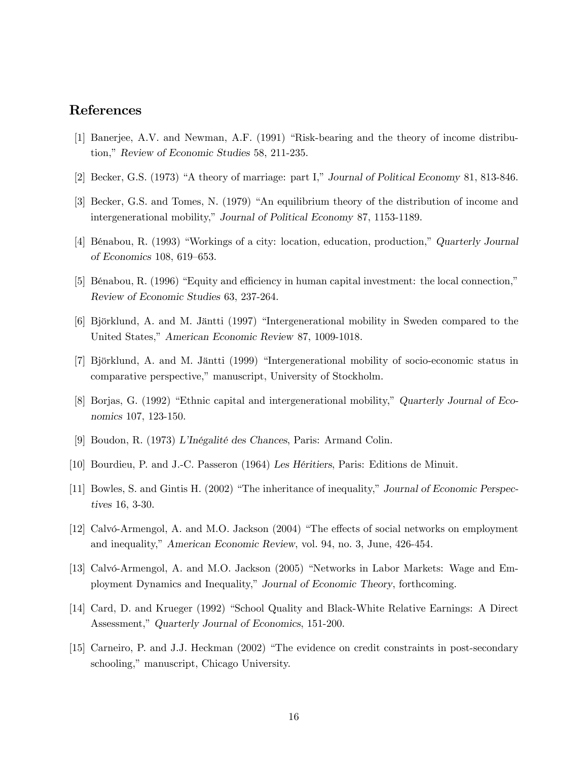## References

- [1] Banerjee, A.V. and Newman, A.F. (1991) "Risk-bearing and the theory of income distribution," Review of Economic Studies 58, 211-235.
- [2] Becker, G.S. (1973) "A theory of marriage: part I," Journal of Political Economy 81, 813-846.
- [3] Becker, G.S. and Tomes, N. (1979) "An equilibrium theory of the distribution of income and intergenerational mobility," Journal of Political Economy 87, 1153-1189.
- [4] Bénabou, R. (1993) "Workings of a city: location, education, production," Quarterly Journal of Economics 108, 619–653.
- [5] Bénabou, R. (1996) "Equity and efficiency in human capital investment: the local connection." Review of Economic Studies 63, 237-264.
- [6] Björklund, A. and M. Jäntti (1997) "Intergenerational mobility in Sweden compared to the United States," American Economic Review 87, 1009-1018.
- [7] Björklund, A. and M. Jäntti (1999) "Intergenerational mobility of socio-economic status in comparative perspective," manuscript, University of Stockholm.
- [8] Borjas, G. (1992) "Ethnic capital and intergenerational mobility," Quarterly Journal of Economics 107, 123-150.
- [9] Boudon, R. (1973) L'Inégalité des Chances, Paris: Armand Colin.
- [10] Bourdieu, P. and J.-C. Passeron (1964) Les Héritiers, Paris: Editions de Minuit.
- [11] Bowles, S. and Gintis H. (2002) "The inheritance of inequality," Journal of Economic Perspectives 16, 3-30.
- [12] Calvó-Armengol, A. and M.O. Jackson (2004) "The effects of social networks on employment and inequality," American Economic Review, vol. 94, no. 3, June, 426-454.
- [13] Calvó-Armengol, A. and M.O. Jackson (2005) "Networks in Labor Markets: Wage and Employment Dynamics and Inequality," Journal of Economic Theory, forthcoming.
- [14] Card, D. and Krueger (1992) "School Quality and Black-White Relative Earnings: A Direct Assessment," Quarterly Journal of Economics, 151-200.
- [15] Carneiro, P. and J.J. Heckman (2002) "The evidence on credit constraints in post-secondary schooling," manuscript, Chicago University.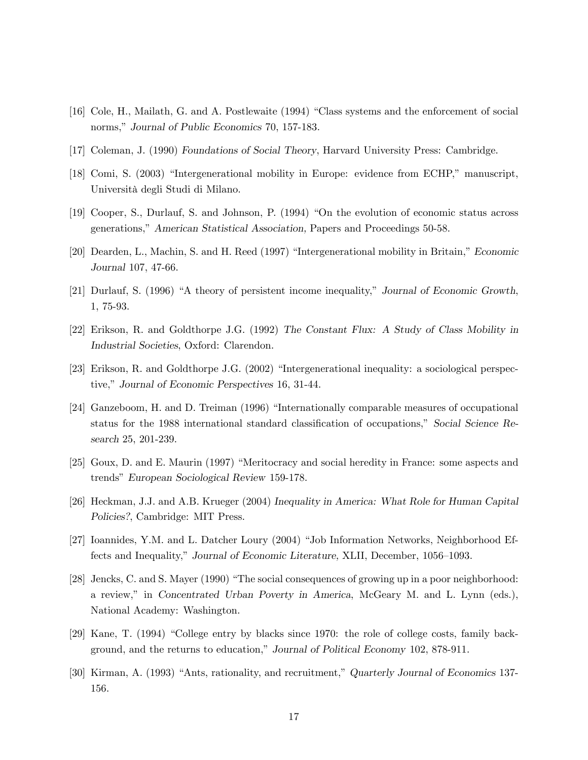- [16] Cole, H., Mailath, G. and A. Postlewaite (1994) "Class systems and the enforcement of social norms," Journal of Public Economics 70, 157-183.
- [17] Coleman, J. (1990) Foundations of Social Theory, Harvard University Press: Cambridge.
- [18] Comi, S. (2003) "Intergenerational mobility in Europe: evidence from ECHP," manuscript, Università degli Studi di Milano.
- [19] Cooper, S., Durlauf, S. and Johnson, P. (1994) "On the evolution of economic status across generations," American Statistical Association, Papers and Proceedings 50-58.
- [20] Dearden, L., Machin, S. and H. Reed (1997) "Intergenerational mobility in Britain," Economic Journal 107, 47-66.
- [21] Durlauf, S. (1996) "A theory of persistent income inequality," Journal of Economic Growth, 1, 75-93.
- [22] Erikson, R. and Goldthorpe J.G. (1992) The Constant Flux: A Study of Class Mobility in Industrial Societies, Oxford: Clarendon.
- [23] Erikson, R. and Goldthorpe J.G. (2002) "Intergenerational inequality: a sociological perspective," Journal of Economic Perspectives 16, 31-44.
- [24] Ganzeboom, H. and D. Treiman (1996) "Internationally comparable measures of occupational status for the 1988 international standard classification of occupations," Social Science Research 25, 201-239.
- [25] Goux, D. and E. Maurin (1997) "Meritocracy and social heredity in France: some aspects and trends" European Sociological Review 159-178.
- [26] Heckman, J.J. and A.B. Krueger (2004) Inequality in America: What Role for Human Capital Policies?, Cambridge: MIT Press.
- [27] Ioannides, Y.M. and L. Datcher Loury (2004) "Job Information Networks, Neighborhood Effects and Inequality," Journal of Economic Literature, XLII, December, 1056-1093.
- [28] Jencks, C. and S. Mayer (1990) "The social consequences of growing up in a poor neighborhood: a review," in Concentrated Urban Poverty in America, McGeary M. and L. Lynn (eds.), National Academy: Washington.
- [29] Kane, T. (1994) "College entry by blacks since 1970: the role of college costs, family background, and the returns to education," Journal of Political Economy 102, 878-911.
- [30] Kirman, A. (1993) "Ants, rationality, and recruitment," Quarterly Journal of Economics 137-156.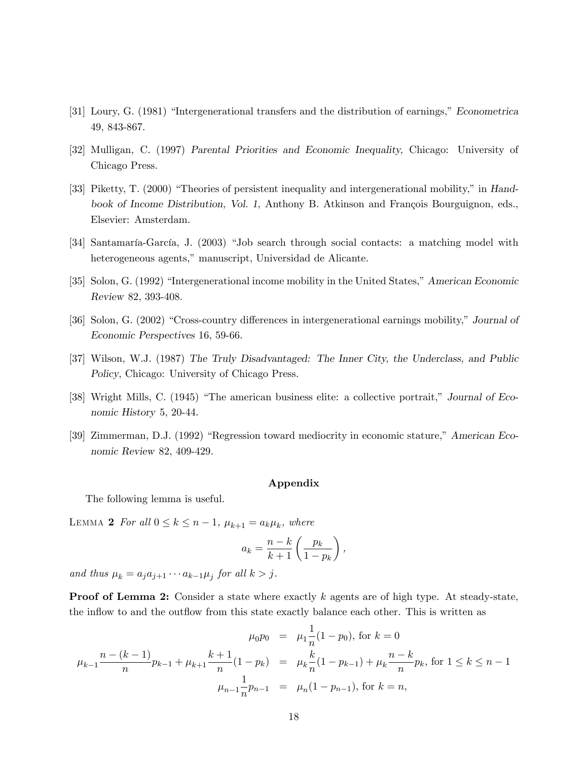- [31] Loury, G. (1981) "Intergenerational transfers and the distribution of earnings," Econometrica 49, 843-867.
- [32] Mulligan, C. (1997) Parental Priorities and Economic Inequality, Chicago: University of Chicago Press.
- [33] Piketty, T. (2000) "Theories of persistent inequality and intergenerational mobility," in Handbook of Income Distribution, Vol. 1, Anthony B. Atkinson and François Bourguignon, eds., Elsevier: Amsterdam.
- [34] Santamaría-García, J. (2003) "Job search through social contacts: a matching model with heterogeneous agents," manuscript, Universidad de Alicante.
- [35] Solon, G. (1992) "Intergenerational income mobility in the United States," American Economic Review 82, 393-408.
- [36] Solon, G. (2002) "Cross-country differences in intergenerational earnings mobility," Journal of Economic Perspectives 16, 59-66.
- [37] Wilson, W.J. (1987) The Truly Disadvantaged: The Inner City, the Underclass, and Public Policy, Chicago: University of Chicago Press.
- [38] Wright Mills, C. (1945) "The american business elite: a collective portrait." Journal of Economic History 5, 20-44.
- [39] Zimmerman, D.J. (1992) "Regression toward mediocrity in economic stature," American Economic Review 82, 409-429.

#### Appendix

The following lemma is useful.

LEMMA 2 For all  $0 \leq k \leq n-1$ ,  $\mu_{k+1} = a_k \mu_k$ , where

$$
a_k = \frac{n-k}{k+1} \left( \frac{p_k}{1-p_k} \right),\,
$$

and thus  $\mu_k = a_j a_{j+1} \cdots a_{k-1} \mu_j$  for all  $k > j$ .

**Proof of Lemma 2:** Consider a state where exactly  $k$  agents are of high type. At steady-state, the inflow to and the outflow from this state exactly balance each other. This is written as

$$
\mu_0 p_0 = \mu_1 \frac{1}{n} (1 - p_0), \text{ for } k = 0
$$
  

$$
\mu_{k-1} \frac{n - (k-1)}{n} p_{k-1} + \mu_{k+1} \frac{k+1}{n} (1 - p_k) = \mu_k \frac{k}{n} (1 - p_{k-1}) + \mu_k \frac{n-k}{n} p_k, \text{ for } 1 \le k \le n-1
$$
  

$$
\mu_{n-1} \frac{1}{n} p_{n-1} = \mu_n (1 - p_{n-1}), \text{ for } k = n,
$$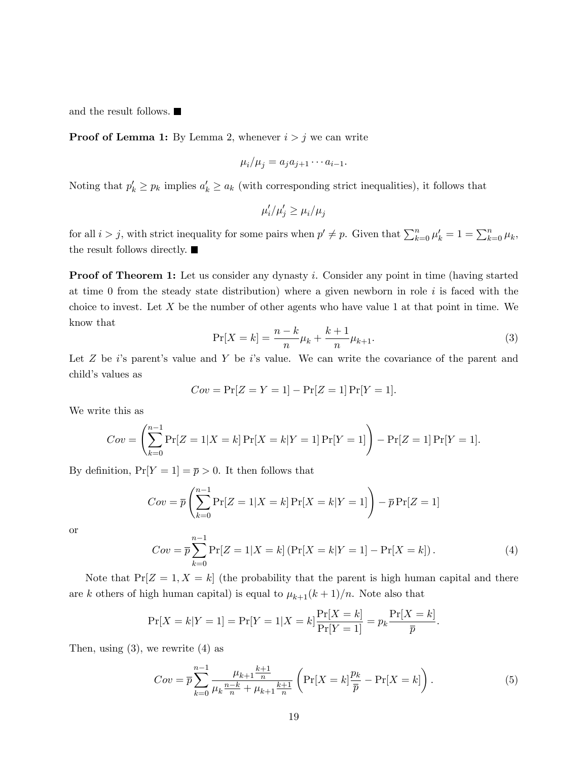and the result follows.

**Proof of Lemma 1:** By Lemma 2, whenever  $i > j$  we can write

$$
\mu_i/\mu_j = a_j a_{j+1} \cdots a_{i-1}.
$$

Noting that  $p'_k \geq p_k$  implies  $a'_k \geq a_k$  (with corresponding strict inequalities), it follows that

$$
\mu'_i/\mu'_j \ge \mu_i/\mu_j
$$

for all  $i > j$ , with strict inequality for some pairs when  $p' \neq p$ . Given that  $\sum_{k=0}^{n} \mu'_k = 1 = \sum_{k=0}^{n} \mu_k$ , the result follows directly.

**Proof of Theorem 1:** Let us consider any dynasty i. Consider any point in time (having started at time 0 from the steady state distribution) where a given newborn in role  $i$  is faced with the choice to invest. Let  $X$  be the number of other agents who have value 1 at that point in time. We know that

$$
\Pr[X = k] = \frac{n - k}{n} \mu_k + \frac{k + 1}{n} \mu_{k+1}.
$$
\n(3)

Let  $Z$  be is parent's value and  $Y$  be is value. We can write the covariance of the parent and child's values as

$$
Cov = \Pr[Z = Y = 1] - \Pr[Z = 1] \Pr[Y = 1].
$$

We write this as

$$
Cov = \left(\sum_{k=0}^{n-1} \Pr[Z = 1 | X = k] \Pr[X = k | Y = 1] \Pr[Y = 1]\right) - \Pr[Z = 1] \Pr[Y = 1].
$$

By definition,  $Pr[Y = 1] = \overline{p} > 0$ . It then follows that

$$
Cov = \overline{p} \left( \sum_{k=0}^{n-1} \Pr[Z = 1 | X = k] \Pr[X = k | Y = 1] \right) - \overline{p} \Pr[Z = 1]
$$

or

$$
Cov = \overline{p} \sum_{k=0}^{n-1} \Pr[Z = 1 | X = k] \left( \Pr[X = k | Y = 1] - \Pr[X = k] \right). \tag{4}
$$

Note that  $Pr[Z = 1, X = k]$  (the probability that the parent is high human capital and there are k others of high human capital) is equal to  $\mu_{k+1}(k+1)/n$ . Note also that

$$
\Pr[X = k|Y = 1] = \Pr[Y = 1|X = k] \frac{\Pr[X = k]}{\Pr[Y = 1]} = p_k \frac{\Pr[X = k]}{\overline{p}}.
$$

Then, using  $(3)$ , we rewrite  $(4)$  as

$$
Cov = \overline{p} \sum_{k=0}^{n-1} \frac{\mu_{k+1} \frac{k+1}{n}}{\mu_k \frac{n-k}{n} + \mu_{k+1} \frac{k+1}{n}} \left( \Pr[X=k] \frac{p_k}{\overline{p}} - \Pr[X=k] \right). \tag{5}
$$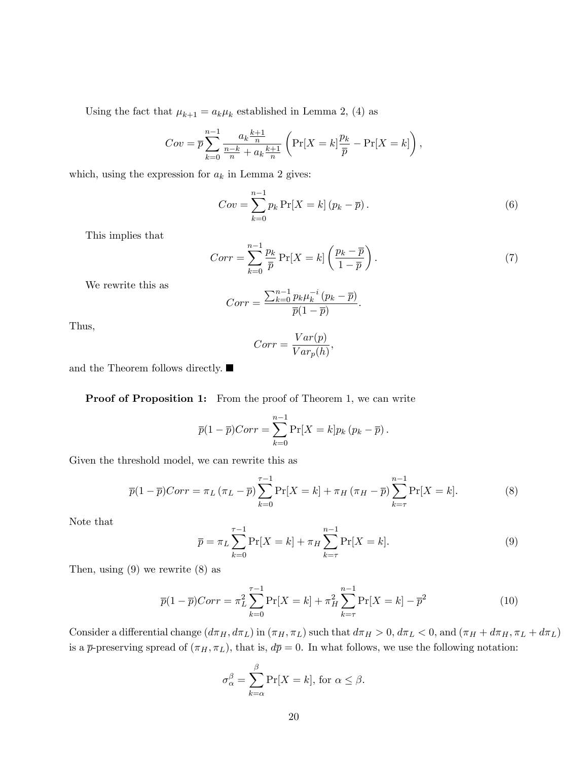Using the fact that  $\mu_{k+1} = a_k \mu_k$  established in Lemma 2, (4) as

$$
Cov = \overline{p} \sum_{k=0}^{n-1} \frac{a_k \frac{k+1}{n}}{\frac{n-k}{n} + a_k \frac{k+1}{n}} \left( \Pr[X = k] \frac{p_k}{\overline{p}} - \Pr[X = k] \right),
$$

which, using the expression for  $a_k$  in Lemma 2 gives:

$$
Cov = \sum_{k=0}^{n-1} p_k \Pr[X=k] (p_k - \overline{p}). \tag{6}
$$

This implies that

$$
Corr = \sum_{k=0}^{n-1} \frac{p_k}{\overline{p}} \Pr[X = k] \left( \frac{p_k - \overline{p}}{1 - \overline{p}} \right). \tag{7}
$$

:

We rewrite this as

$$
Corr = \frac{\sum_{k=0}^{n-1} p_k \mu_k^{-i} (p_k - \overline{p})}{\overline{p}(1 - \overline{p})}
$$

Thus,

$$
Corr = \frac{Var(p)}{Var_p(h)},
$$

and the Theorem follows directly.  $\blacksquare$ 

Proof of Proposition 1: From the proof of Theorem 1, we can write

$$
\overline{p}(1-\overline{p})Corr = \sum_{k=0}^{n-1} \Pr[X=k]p_k (p_k - \overline{p}).
$$

Given the threshold model, we can rewrite this as

$$
\overline{p}(1-\overline{p})Corr = \pi_L(\pi_L - \overline{p})\sum_{k=0}^{\tau-1} \Pr[X=k] + \pi_H(\pi_H - \overline{p})\sum_{k=\tau}^{n-1} \Pr[X=k].\tag{8}
$$

Note that

$$
\overline{p} = \pi_L \sum_{k=0}^{\tau - 1} \Pr[X = k] + \pi_H \sum_{k=\tau}^{n-1} \Pr[X = k]. \tag{9}
$$

Then, using  $(9)$  we rewrite  $(8)$  as

$$
\overline{p}(1-\overline{p})Corr = \pi_L^2 \sum_{k=0}^{\tau-1} \Pr[X=k] + \pi_H^2 \sum_{k=\tau}^{n-1} \Pr[X=k] - \overline{p}^2
$$
\n(10)

Consider a differential change  $(d\pi_H, d\pi_L)$  in  $(\pi_H, \pi_L)$  such that  $d\pi_H > 0$ ,  $d\pi_L < 0$ , and  $(\pi_H + d\pi_H, \pi_L + d\pi_L)$ is a  $\bar{p}$ -preserving spread of  $(\pi_H, \pi_L)$ , that is,  $d\bar{p} = 0$ . In what follows, we use the following notation:

$$
\sigma_{\alpha}^{\beta} = \sum_{k=\alpha}^{\beta} \Pr[X = k], \text{ for } \alpha \le \beta.
$$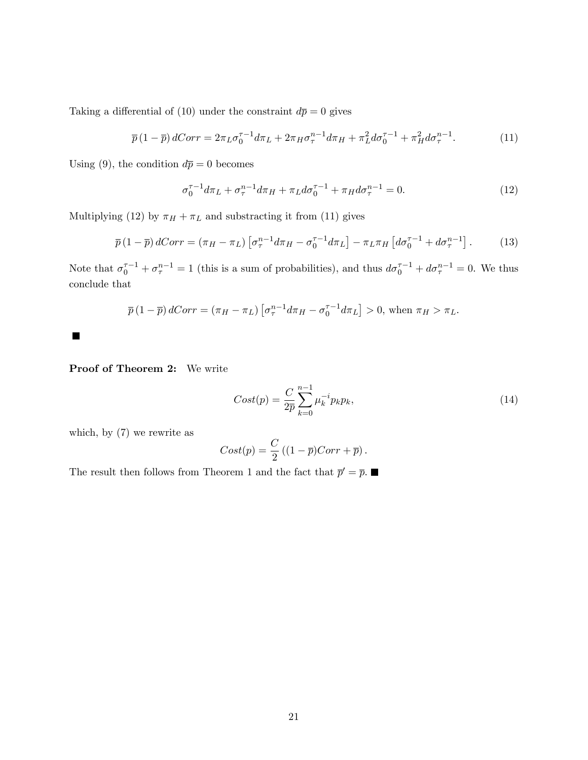Taking a differential of (10) under the constraint  $d\bar{p} = 0$  gives

$$
\overline{p}(1-\overline{p}) dCorr = 2\pi_L \sigma_0^{\tau-1} d\pi_L + 2\pi_H \sigma_\tau^{n-1} d\pi_H + \pi_L^2 d\sigma_0^{\tau-1} + \pi_H^2 d\sigma_\tau^{n-1}.
$$
\n(11)

Using (9), the condition  $d\overline{p} = 0$  becomes

$$
\sigma_0^{\tau-1} d\pi_L + \sigma_\tau^{n-1} d\pi_H + \pi_L d\sigma_0^{\tau-1} + \pi_H d\sigma_\tau^{n-1} = 0.
$$
 (12)

Multiplying (12) by  $\pi_H + \pi_L$  and substracting it from (11) gives

$$
\overline{p}\left(1-\overline{p}\right)dCorr = \left(\pi_H - \pi_L\right)\left[\sigma_\tau^{n-1}d\pi_H - \sigma_0^{\tau-1}d\pi_L\right] - \pi_L\pi_H\left[d\sigma_0^{\tau-1} + d\sigma_\tau^{n-1}\right].\tag{13}
$$

Note that  $\sigma_0^{\tau-1} + \sigma_{\tau}^{n-1} = 1$  (this is a sum of probabilities), and thus  $d\sigma_0^{\tau-1} + d\sigma_{\tau}^{n-1} = 0$ . We thus conclude that

$$
\overline{p}\left(1-\overline{p}\right)dCorr = \left(\pi_H - \pi_L\right)\left[\sigma_{\tau}^{n-1}d\pi_H - \sigma_0^{\tau-1}d\pi_L\right] > 0, \text{ when } \pi_H > \pi_L.
$$

Proof of Theorem 2: We write

■

$$
Cost(p) = \frac{C}{2\overline{p}} \sum_{k=0}^{n-1} \mu_k^{-i} p_k p_k,
$$
\n(14)

which, by (7) we rewrite as

$$
Cost(p) = \frac{C}{2} ((1 - \overline{p})Corr + \overline{p}).
$$

The result then follows from Theorem 1 and the fact that  $\bar{p}' = \bar{p}$ .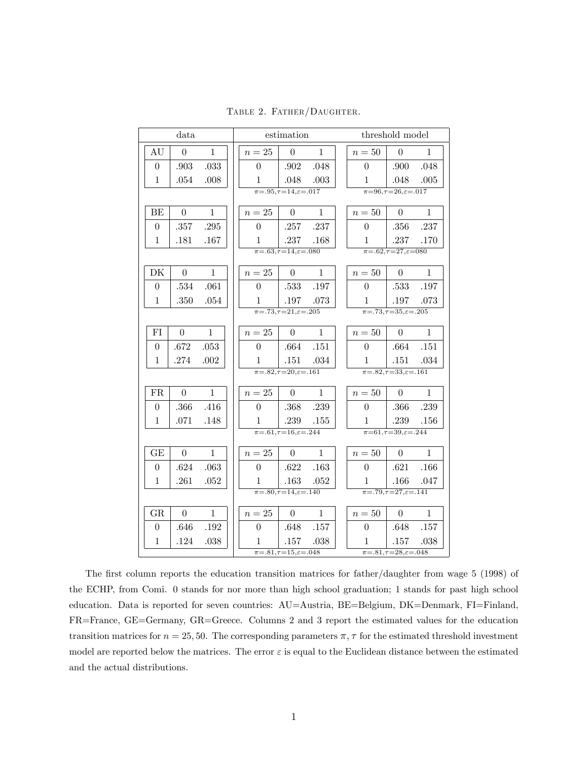|                  | data             |              |                | estimation                                      |              |                  | threshold model                                                   |              |
|------------------|------------------|--------------|----------------|-------------------------------------------------|--------------|------------------|-------------------------------------------------------------------|--------------|
| AU               | $\overline{0}$   | $\mathbf{1}$ | $n=25$         | $\overline{0}$                                  | $\mathbf{1}$ | $n=50$           | $\overline{0}$                                                    | $\mathbf{1}$ |
| $\overline{0}$   | .903             | .033         | $\theta$       | .902                                            | .048         | $\overline{0}$   | .900                                                              | .048         |
| $\mathbf{1}$     | .054             | .008         | 1              | .048                                            | .003         | $\mathbf{1}$     | .048                                                              | .005         |
|                  |                  |              |                | $\overline{\pi=0.95,\tau=14,\varepsilon=0.017}$ |              |                  | $\pi = 96, \tau = 26, \varepsilon = .017$                         |              |
| BE               | $\theta$         | $\mathbf{1}$ | $n=25$         | $\theta$                                        | $\mathbf{1}$ | $n=50$           | $\Omega$                                                          | $\mathbf{1}$ |
| $\overline{0}$   | .357             | .295         | $\theta$       | .257                                            | .237         | $\overline{0}$   | .356                                                              | .237         |
| $1\,$            | .181             | .167         | 1              | .237                                            | .168         | 1                | .237                                                              | .170         |
|                  |                  |              |                | $\pi = .63, \tau = 14, \varepsilon = .080$      |              |                  | $\pi = .62, \tau = 27, \varepsilon = 080$                         |              |
| DK               | $\overline{0}$   | $\mathbf{1}$ | $n=25$         | $\overline{0}$                                  | $\mathbf{1}$ | $n=50$           | $\theta$                                                          | $\mathbf{1}$ |
| $\boldsymbol{0}$ | .534             | .061         | $\overline{0}$ | .533                                            | .197         | $\boldsymbol{0}$ | .533                                                              | .197         |
| $1\,$            | .350             | .054         | $\mathbf{1}$   | .197                                            | .073         | $\mathbf{1}$     | .197                                                              | .073         |
|                  |                  |              |                | $\pi = .73, \tau = 21, \varepsilon = .205$      |              |                  | $\pi = .73, \tau = 35, \varepsilon = .205$                        |              |
| FI               | $\overline{0}$   | $\mathbf{1}$ | $n=25$         | $\overline{0}$                                  | $\mathbf{1}$ | $n=50$           | $\overline{0}$                                                    | $\mathbf{1}$ |
| $\boldsymbol{0}$ | .672             | .053         | $\overline{0}$ | .664                                            | .151         | $\overline{0}$   | .664                                                              | .151         |
| 1                | .274             | .002         | $\mathbf{1}$   | .151                                            | .034         | $\mathbf{1}$     | $.151\,$                                                          | .034         |
|                  |                  |              |                | $\pi = .82, \tau = 20, \varepsilon = .161$      |              |                  | $\pi = .82, \tau = 33, \varepsilon = .161$                        |              |
| ${\rm FR}$       | $\boldsymbol{0}$ | $\mathbf{1}$ | $n=25$         | $\theta$                                        | $\mathbf{1}$ | $n=50$           | $\theta$                                                          | $\mathbf{1}$ |
| $\boldsymbol{0}$ | .366             | .416         | $\overline{0}$ | .368                                            | .239         | $\overline{0}$   | .366                                                              | .239         |
| $\mathbf{1}$     | .071             | .148         | 1              | .239                                            | .155         | 1                | .239                                                              | .156         |
|                  |                  |              |                | $\pi = .61, \tau = 16, \epsilon = .244$         |              |                  | $\pi = 61, \tau = 39, \epsilon = .244$                            |              |
| GE               | $\overline{0}$   | $\mathbf{1}$ | $n=25$         | $\overline{0}$                                  | $\mathbf{1}$ | $n=50$           | $\theta$                                                          | $\mathbf{1}$ |
| $\boldsymbol{0}$ | .624             | .063         | $\overline{0}$ | .622                                            | .163         | $\overline{0}$   | .621                                                              | .166         |
| $\mathbf{1}$     | .261             | .052         | 1              | .163                                            | .052         | 1                | .166                                                              | .047         |
|                  |                  |              |                | $\overline{\pi=0.80,\tau=14},\epsilon=0.140$    |              |                  | $\overline{\pi}$ =.79, $\overline{\tau}$ =27, $\varepsilon$ =.141 |              |
| GR               | $\boldsymbol{0}$ | $\mathbf{1}$ | $n=25$         | $\overline{0}$                                  | $\mathbf{1}$ | $n=50$           | $\overline{0}$                                                    | $\mathbf{1}$ |
| $\boldsymbol{0}$ | .646             | .192         | $\overline{0}$ | .648                                            | .157         | $\boldsymbol{0}$ | .648                                                              | .157         |
| $\mathbf{1}$     | .124             | .038         | 1              | .157                                            | .038         | $\mathbf{1}$     | .157                                                              | .038         |
|                  |                  |              |                | $\pi = 0.81, \tau = 15, \varepsilon = 0.048$    |              |                  | $\pi = .81, \tau = 28, \varepsilon = .048$                        |              |

TABLE 2. FATHER/DAUGHTER.

The first column reports the education transition matrices for father/daughter from wage 5 (1998) of the ECHP, from Comi. 0 stands for nor more than high school graduation; 1 stands for past high school education. Data is reported for seven countries: AU=Austria, BE=Belgium, DK=Denmark, FI=Finland, FR=France, GE=Germany, GR=Greece. Columns 2 and 3 report the estimated values for the education transition matrices for  $n = 25, 50$ . The corresponding parameters  $\pi$ ,  $\tau$  for the estimated threshold investment model are reported below the matrices. The error  $\varepsilon$  is equal to the Euclidean distance between the estimated and the actual distributions.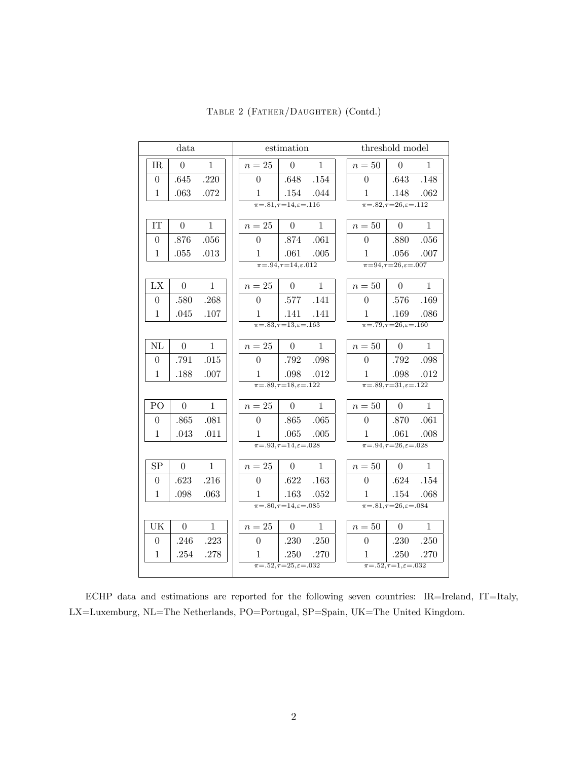|                  | data           |              |                  | estimation                                        |              |                  | threshold model                                      |              |
|------------------|----------------|--------------|------------------|---------------------------------------------------|--------------|------------------|------------------------------------------------------|--------------|
| IR               | $\overline{0}$ | $\mathbf{1}$ | $n=25$           | $\theta$                                          | $\mathbf{1}$ | $n=50$           | $\overline{0}$                                       | $\mathbf{1}$ |
| $\boldsymbol{0}$ | .645           | .220         | $\boldsymbol{0}$ | .648                                              | .154         | $\overline{0}$   | .643                                                 | .148         |
| 1                | .063           | .072         | 1                | .154                                              | .044         | $\mathbf{1}$     | .148                                                 | .062         |
|                  |                |              |                  | $\overline{\pi=0.81, \tau=14, \varepsilon=0.116}$ |              |                  | $\overline{\pi = 0.82, \tau = 26, \epsilon = 0.112}$ |              |
| IT               | $\overline{0}$ | $\mathbf{1}$ | $n=25$           | $\theta$                                          | $\mathbf{1}$ | $n=50\,$         | $\theta$                                             | $\mathbf{1}$ |
| $\overline{0}$   | .876           | .056         | $\theta$         | .874                                              | .061         | $\overline{0}$   | .880                                                 | .056         |
| 1                | .055           | .013         | 1                | .061                                              | .005         | 1                | .056                                                 | .007         |
|                  |                |              |                  | $\overline{\pi = .94, \tau = 14, \epsilon .012}$  |              |                  | $\pi = 94, \tau = 26, \varepsilon = .007$            |              |
| LX               | $\overline{0}$ | $\mathbf{1}$ | $n=25$           | $\theta$                                          | $\mathbf{1}$ | $n=50\,$         | $\theta$                                             | $\mathbf{1}$ |
| $\boldsymbol{0}$ | .580           | .268         | $\overline{0}$   | .577                                              | .141         | $\overline{0}$   | .576                                                 | .169         |
| $\mathbf{1}$     | .045           | .107         | 1                | .141                                              | .141         | 1                | .169                                                 | .086         |
|                  |                |              |                  | $\pi = .83, \tau = 13, \varepsilon = .163$        |              |                  | $\pi = .79, \tau = 26, \epsilon = .160$              |              |
| NL               | $\theta$       | $\mathbf{1}$ | $n=25$           | $\overline{0}$                                    | $\mathbf{1}$ | $n=50$           | $\theta$                                             | $\mathbf{1}$ |
| $\boldsymbol{0}$ | .791           | .015         | $\overline{0}$   | .792                                              | .098         | $\overline{0}$   | .792                                                 | .098         |
| 1                | .188           | .007         | 1                | .098                                              | .012         | $\mathbf{1}$     | .098                                                 | .012         |
|                  |                |              |                  | $\pi = .89, \tau = 18, \varepsilon = .122$        |              |                  | $\pi = 0.89, \tau = 31, \varepsilon = 0.122$         |              |
| PO               | $\theta$       | $\mathbf{1}$ | $n=25$           | $\overline{0}$                                    | $\mathbf{1}$ | $n=50$           | $\overline{0}$                                       | $\mathbf{1}$ |
| $\boldsymbol{0}$ | .865           | .081         | $\boldsymbol{0}$ | .865                                              | .065         | $\boldsymbol{0}$ | .870                                                 | .061         |
| $\mathbf{1}$     | .043           | .011         | 1                | .065                                              | .005         | 1                | .061                                                 | .008         |
|                  |                |              |                  | $\overline{\pi=0.93,\tau=14,\varepsilon=0.028}$   |              |                  | $\pi = .94, \tau = 26, \varepsilon = .028$           |              |
| SP               | $\overline{0}$ | $\mathbf{1}$ | $n=25$           | $\overline{0}$                                    | $\mathbf{1}$ | $n=50$           | $\theta$                                             | $\mathbf{1}$ |
| $\boldsymbol{0}$ | .623           | .216         | $\overline{0}$   | .622                                              | .163         | $\overline{0}$   | .624                                                 | .154         |
| $\mathbf{1}$     | .098           | .063         | $\mathbf{1}$     | .163                                              | .052         | $\mathbf{1}$     | .154                                                 | .068         |
|                  |                |              |                  | $\overline{\pi=0.80,\tau=14},\varepsilon=0.085$   |              |                  | $\overline{\pi=0.81, \tau=26, \varepsilon=0.084}$    |              |
| UK               | $\overline{0}$ | $\mathbf{1}$ | $n=25$           | $\theta$                                          | $\mathbf{1}$ | $n=50$           | $\theta$                                             | $\mathbf{1}$ |
| $\boldsymbol{0}$ | .246           | .223         | $\boldsymbol{0}$ | .230                                              | .250         | $\boldsymbol{0}$ | .230                                                 | .250         |
| $\mathbf{1}$     | .254           | .278         | 1                | .250                                              | .270         | $\mathbf{1}$     | .250                                                 | .270         |
|                  |                |              |                  | $\pi = .52, \tau = 25, \varepsilon = .032$        |              |                  | $\pi = .52, \tau = 1, \varepsilon = .032$            |              |

TABLE 2 (FATHER/DAUGHTER) (Contd.)

ECHP data and estimations are reported for the following seven countries: IR=Ireland, IT=Italy, LX=Luxemburg, NL=The Netherlands, PO=Portugal, SP=Spain, UK=The United Kingdom.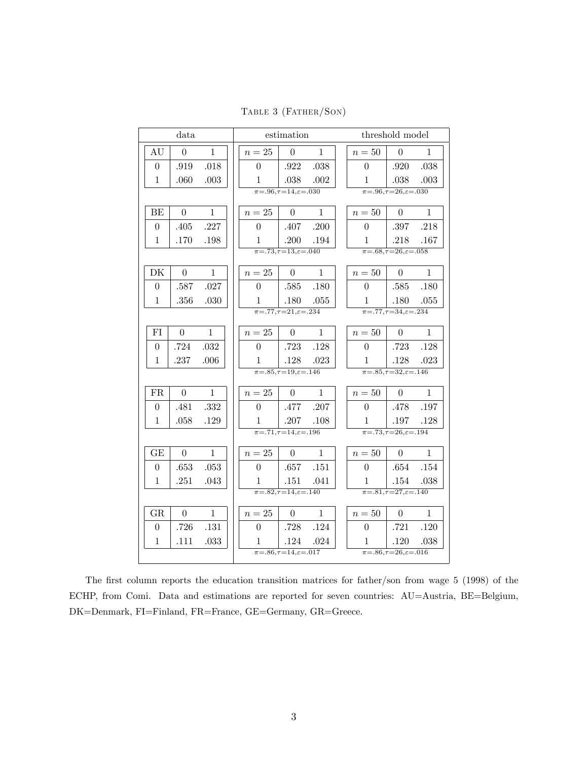TABLE 3 (FATHER/SON)

|                  | data             |              |                | estimation                                              |              |                  | threshold model                                    |              |
|------------------|------------------|--------------|----------------|---------------------------------------------------------|--------------|------------------|----------------------------------------------------|--------------|
| AU               | $\boldsymbol{0}$ | $\mathbf{1}$ | $n=25$         | $\overline{0}$                                          | $\mathbf{1}$ | $n=50$           | $\overline{0}$                                     | $\mathbf{1}$ |
| $\overline{0}$   | .919             | .018         | $\overline{0}$ | .922                                                    | .038         | $\overline{0}$   | .920                                               | .038         |
| 1                | .060             | .003         | 1              | .038                                                    | .002         | $\mathbf{1}$     | .038                                               | .003         |
|                  |                  |              |                | $\overline{\pi = .96, \tau = 14, \varepsilon = .030}$   |              |                  | $\overline{\pi = .96, \tau = 26, \epsilon = .030}$ |              |
| BE               | $\overline{0}$   | $\mathbf{1}$ | $n=25$         | $\overline{0}$                                          | $\mathbf{1}$ | $n=50$           | $\overline{0}$                                     | $\mathbf{1}$ |
| $\overline{0}$   | .405             | .227         | $\theta$       | .407                                                    | .200         | $\overline{0}$   | .397                                               | .218         |
| 1                | .170             | .198         | 1              | .200                                                    | .194         | $\mathbf{1}$     | .218                                               | .167         |
|                  |                  |              |                | $\pi = .73, \tau = 13, \varepsilon = .040$              |              |                  | $\pi = .68, \tau = 26, \varepsilon = .058$         |              |
| DK               | $\boldsymbol{0}$ | $\mathbf{1}$ | $n=25$         | $\theta$                                                | $\mathbf{1}$ | $n=50$           | $\Omega$                                           | $\mathbf{1}$ |
| $\boldsymbol{0}$ | .587             | .027         | $\overline{0}$ | .585                                                    | .180         | $\boldsymbol{0}$ | .585                                               | .180         |
| 1                | .356             | .030         | $\mathbf{1}$   | .180                                                    | .055         | $\mathbf{1}$     | .180                                               | .055         |
|                  |                  |              |                | $\pi = .77, \tau = 21, \varepsilon = .234$              |              |                  | $\pi = .77, \tau = 34, \varepsilon = .234$         |              |
| FI               | $\boldsymbol{0}$ | $\mathbf{1}$ | $n=25$         | $\overline{0}$                                          | $\mathbf{1}$ | $n=50$           | $\theta$                                           | $\mathbf{1}$ |
| $\overline{0}$   | .724             | .032         | $\overline{0}$ | .723                                                    | .128         | $\Omega$         | .723                                               | .128         |
| $\mathbf 1$      | .237             | .006         | 1              | .128                                                    | .023         | 1                | .128                                               | .023         |
|                  |                  |              |                | $\pi = .85, \tau = 19, \epsilon = .146$                 |              |                  | $\pi = .85, \tau = 32, \varepsilon = .146$         |              |
| FR               | $\theta$         | $\mathbf{1}$ | $n=25$         | $\overline{0}$                                          | $\mathbf{1}$ | $n=50$           | $\Omega$                                           | $\mathbf{1}$ |
| 0                | .481             | .332         | $\overline{0}$ | .477                                                    | .207         | $\overline{0}$   | .478                                               | .197         |
| $\mathbf{1}$     | .058             | .129         | $\mathbf{1}$   | .207                                                    | .108         | $\mathbf{1}$     | .197                                               | .128         |
|                  |                  |              |                | $\pi = .71, \tau = 14, \varepsilon = .196$              |              |                  | $\pi = .73, \tau = 26, \varepsilon = .194$         |              |
| GE               | $\boldsymbol{0}$ | $\mathbf{1}$ | $n=25$         | $\boldsymbol{0}$                                        | $\mathbf{1}$ | $n=50$           | $\overline{0}$                                     | $\mathbf{1}$ |
| $\theta$         | .653             | .053         | $\theta$       | .657                                                    | .151         | $\theta$         | .654                                               | .154         |
| 1                | .251             | .043         | 1              | .151                                                    | .041         | $\mathbf{1}$     | .154                                               | .038         |
|                  |                  |              |                | $\overline{\pi = 0.82, \tau = 14, \varepsilon = 0.140}$ |              |                  | $\pi = .81, \tau = 27, \varepsilon = .140$         |              |
| GR               | $\theta$         | $\mathbf{1}$ | $n=25$         | $\Omega$                                                | $\mathbf{1}$ | $n=50$           | $\Omega$                                           | 1            |
| $\boldsymbol{0}$ | .726             | .131         | $\overline{0}$ | .728                                                    | .124         | $\overline{0}$   | .721                                               | .120         |
| $\mathbf{1}$     | .111             | .033         | $\mathbf{1}$   | .124                                                    | .024         | $\mathbf{1}$     | .120                                               | .038         |
|                  |                  |              |                | $\pi = .86, \tau = 14, \varepsilon = .017$              |              |                  | $\pi = 0.86, \tau = 26, \epsilon = 0.016$          |              |

The first column reports the education transition matrices for father/son from wage 5 (1998) of the ECHP, from Comi. Data and estimations are reported for seven countries: AU=Austria, BE=Belgium,  $\rm DK\!\!=\!\!Denmark, FI\!\!=\!\!Finland, FR\!\!=\!\!France, GE\!\!=\!\!Germany, GR\!\!=\!\!Green.$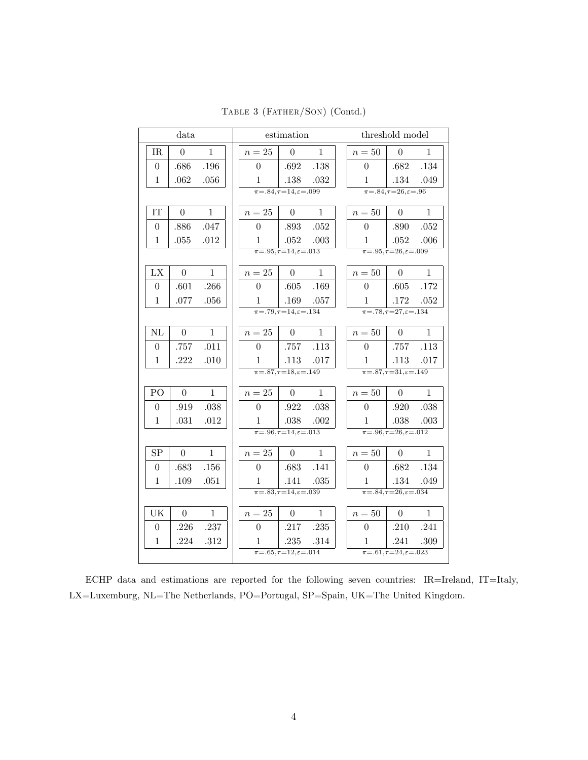|                  | data             |              |                | estimation                                           |              |                | threshold model                                      |              |
|------------------|------------------|--------------|----------------|------------------------------------------------------|--------------|----------------|------------------------------------------------------|--------------|
| IR               | $\overline{0}$   | $\mathbf{1}$ | $\sqrt{n}=25$  | $\overline{0}$                                       | $\mathbf{1}$ | $n=50$         | $\theta$                                             | $\mathbf{1}$ |
| $\overline{0}$   | .686             | .196         | 0              | .692                                                 | .138         | $\Omega$       | .682                                                 | .134         |
| $\mathbf{1}$     | .062             | .056         | 1              | .138                                                 | .032         | $\mathbf{1}$   | .134                                                 | .049         |
|                  |                  |              |                | $\overline{\pi = 0.84, \tau = 14, \epsilon = 0.099}$ |              |                | $\overline{\pi=0.84, \tau=26, \varepsilon=0.96}$     |              |
| IT               | $\overline{0}$   | $\mathbf{1}$ | $n=25$         | $\overline{0}$                                       | $\mathbf{1}$ | $n=50$         | $\theta$                                             | $\mathbf{1}$ |
| $\theta$         | .886             | .047         | $\overline{0}$ | .893                                                 | .052         | $\theta$       | .890                                                 | .052         |
| $\mathbf{1}$     | .055             | .012         | 1              | .052                                                 | .003         | $\mathbf{1}$   | .052                                                 | .006         |
|                  |                  |              |                | $\pi = .95, \tau = 14, \varepsilon = .013$           |              |                | $\pi = 0.95, \tau = 26, \varepsilon = 0.009$         |              |
| LX               | $\overline{0}$   | $\mathbf{1}$ | $n=25$         | $\overline{0}$                                       | $\mathbf{1}$ | $n=50$         | $\overline{0}$                                       | $\mathbf{1}$ |
| $\boldsymbol{0}$ | .601             | .266         | $\Omega$       | .605                                                 | .169         | $\overline{0}$ | .605                                                 | .172         |
| $\mathbf{1}$     | .077             | .056         | $\mathbf{1}$   | .169                                                 | .057         | $\mathbf{1}$   | .172                                                 | .052         |
|                  |                  |              |                | $\pi = .79, \tau = 14, \varepsilon = .134$           |              |                | $\pi = .78, \tau = 27, \varepsilon = .134$           |              |
| $\rm NL$         | $\boldsymbol{0}$ | $\mathbf{1}$ | $n=25$         | $\Omega$                                             | $\mathbf{1}$ | $n=50\,$       | $\theta$                                             | 1            |
| $\overline{0}$   | .757             | .011         | $\overline{0}$ | .757                                                 | .113         | $\Omega$       | .757                                                 | .113         |
| $\mathbf{1}$     | .222             | .010         | 1              | .113                                                 | .017         | $\mathbf{1}$   | .113                                                 | .017         |
|                  |                  |              |                | $\overline{\pi = 0.87, \tau = 18, \epsilon = 0.149}$ |              |                | $\overline{\pi = 0.87, \tau = 31, \epsilon = 0.149}$ |              |
| PO               | $\overline{0}$   | $\mathbf{1}$ | $n=25$         | $\overline{0}$                                       | $\mathbf{1}$ | $n=50$         | $\theta$                                             | $\mathbf{1}$ |
| 0                | .919             | .038         | 0              | .922                                                 | .038         | $\overline{0}$ | .920                                                 | .038         |
| $\mathbf{1}$     | .031             | .012         | 1              | .038                                                 | .002         | $\mathbf{1}$   | .038                                                 | .003         |
|                  |                  |              |                | $\overline{\pi = 0.96, \tau = 14, \epsilon = 0.013}$ |              |                | $\overline{\pi = 0.96, \tau = 26, \epsilon = 0.012}$ |              |
| SP               | $\boldsymbol{0}$ | $\mathbf{1}$ | $n=25$         | $\boldsymbol{0}$                                     | $\mathbf{1}$ | $n=50$         | $\overline{0}$                                       | $\mathbf{1}$ |
| $\boldsymbol{0}$ | .683             | .156         | $\Omega$       | .683                                                 | .141         | $\overline{0}$ | .682                                                 | .134         |
| $\mathbf{1}$     | .109             | $.051\,$     | $\mathbf{1}$   | .141                                                 | .035         | $\mathbf{1}$   | .134                                                 | .049         |
|                  |                  |              |                | $\frac{}{178.83,7=14,\varepsilon=0.039}$             |              |                | $\pi = 0.84, \tau = 26, \epsilon = 0.034$            |              |
| UK               | $\overline{0}$   | $\mathbf{1}$ | $n=25$         | $\overline{0}$                                       | $\mathbf{1}$ | $n=50$         | $\overline{0}$                                       | $\mathbf{1}$ |
| $\overline{0}$   | .226             | .237         | $\Omega$       | .217                                                 | .235         | $\Omega$       | .210                                                 | .241         |
| $\mathbf{1}$     | .224             | .312         | 1              | .235                                                 | .314         | $\mathbf{1}$   | .241                                                 | .309         |
|                  |                  |              |                | $\pi = .65, \tau = 12, \varepsilon = .014$           |              |                | $\pi = .61, \tau = 24, \varepsilon = .023$           |              |

TABLE 3 (FATHER/SON) (Contd.)

ECHP data and estimations are reported for the following seven countries: IR=Ireland, IT=Italy,  $\text{LX} \text{=} \text{Luxemburg, NL} \text{=} \text{The Netherlands, PO} \text{=} \text{Portugal, SP} \text{=} \text{Spin, UK} \text{=} \text{The United Kingdom.}$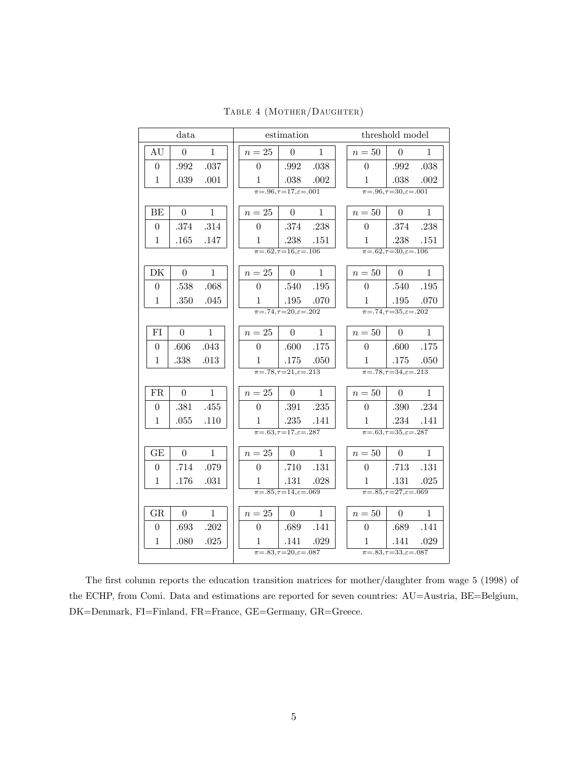|                  | data             |              |                | estimation                                           |              |                | threshold model                                  |              |
|------------------|------------------|--------------|----------------|------------------------------------------------------|--------------|----------------|--------------------------------------------------|--------------|
| AU               | $\overline{0}$   | $\mathbf{1}$ | $n=25$         | $\overline{0}$                                       | $\mathbf{1}$ | $n=50$         | $\overline{0}$                                   | $\mathbf{1}$ |
| $\overline{0}$   | .992             | .037         | $\overline{0}$ | .992                                                 | .038         | $\overline{0}$ | .992                                             | .038         |
| $\mathbf{1}$     | .039             | .001         | $\mathbf{1}$   | .038                                                 | .002         | $\mathbf{1}$   | .038                                             | .002         |
|                  |                  |              |                | $\pi = .96, \tau = 17, \varepsilon = .001$           |              |                | $\overline{\pi=0.96, \tau=30, \varepsilon=0.01}$ |              |
| BE               | $\theta$         | $\mathbf{1}$ | $n=25$         | $\theta$                                             | $\mathbf{1}$ | $n=50$         | $\theta$                                         | $\mathbf{1}$ |
| $\boldsymbol{0}$ | .374             | .314         | $\overline{0}$ | .374                                                 | .238         | $\overline{0}$ | .374                                             | .238         |
| $\mathbf{1}$     | .165             | .147         | 1              | .238                                                 | .151         | $\mathbf{1}$   | .238                                             | .151         |
|                  |                  |              |                | $\pi = .62, \tau = 16, \epsilon = .106$              |              |                | $\pi = .62, \tau = 30, \varepsilon = .106$       |              |
| DK               | $\boldsymbol{0}$ | $\mathbf{1}$ | $n=25$         | $\overline{0}$                                       | $\mathbf{1}$ | $n=50$         | $\theta$                                         | $\mathbf{1}$ |
| $\overline{0}$   | .538             | .068         | $\theta$       | .540                                                 | .195         | $\overline{0}$ | .540                                             | .195         |
| $\mathbf{1}$     | $.350\,$         | .045         | 1              | .195                                                 | .070         | 1              | .195                                             | .070         |
|                  |                  |              |                | $\pi = .74, \tau = 20, \varepsilon = .202$           |              |                | $\pi = .74, \tau = 35, \varepsilon = .202$       |              |
| FI               | $\theta$         | $\mathbf{1}$ | $n=25$         | $\overline{0}$                                       | $\mathbf{1}$ | $n=50$         | $\theta$                                         | $\mathbf{1}$ |
| $\overline{0}$   | .606             | .043         | $\Omega$       | .600                                                 | .175         | $\overline{0}$ | .600                                             | .175         |
| $\mathbf{1}$     | .338             | .013         | 1              | .175                                                 | .050         | 1              | .175                                             | .050         |
|                  |                  |              |                | $\overline{\pi = 0.78, \tau = 21, \epsilon = 0.213}$ |              |                | $\pi = .78, \tau = 34, \varepsilon = .213$       |              |
| FR               | $\overline{0}$   | $\mathbf{1}$ | $n=25$         | $\boldsymbol{0}$                                     | $\mathbf{1}$ | $n=50$         | $\boldsymbol{0}$                                 | $\mathbf{1}$ |
| $\overline{0}$   | .381             | .455         | $\theta$       | .391                                                 | .235         | $\overline{0}$ | .390                                             | .234         |
| 1                | .055             | .110         | 1              | .235                                                 | .141         | 1              | .234                                             | .141         |
|                  |                  |              |                | $\overline{\pi=0.63,\tau=17,\varepsilon=.287}$       |              |                | $\pi = .63, \tau = 35, \epsilon = .287$          |              |
| GE               | $\overline{0}$   | $\mathbf{1}$ | $n=25$         | $\Omega$                                             | $\mathbf{1}$ | $n=50$         | $\Omega$                                         | $\mathbf{1}$ |
| $\overline{0}$   | .714             | .079         | $\theta$       | .710                                                 | .131         | $\theta$       | .713                                             | .131         |
| 1                | .176             | .031         | 1              | .131                                                 | .028         | $\mathbf{1}$   | .131                                             | .025         |
|                  |                  |              |                | $\pi = .85, \tau = 14, \varepsilon = .069$           |              |                | $\pi = .85, \tau = 27, \varepsilon = .069$       |              |
| GR               | $\theta$         | $\mathbf 1$  | $n=25$         | $\overline{0}$                                       | $\mathbf{1}$ | $n=50$         | $\theta$                                         | $\mathbf{1}$ |
| $\boldsymbol{0}$ | .693             | .202         | $\theta$       | .689                                                 | .141         | $\overline{0}$ | .689                                             | .141         |
| $\mathbf{1}$     | .080             | .025         | 1              | .141                                                 | .029         | 1              | .141                                             | .029         |
|                  |                  |              |                | $\pi = .83, \tau = 20, \varepsilon = .087$           |              |                | $\pi = .83, \tau = 33, \varepsilon = .087$       |              |

TABLE 4 (MOTHER/DAUGHTER)

The first column reports the education transition matrices for mother/daughter from wage 5 (1998) of the ECHP, from Comi. Data and estimations are reported for seven countries: AU=Austria, BE=Belgium, DK=Denmark, FI=Finland, FR=France, GE=Germany, GR=Greece.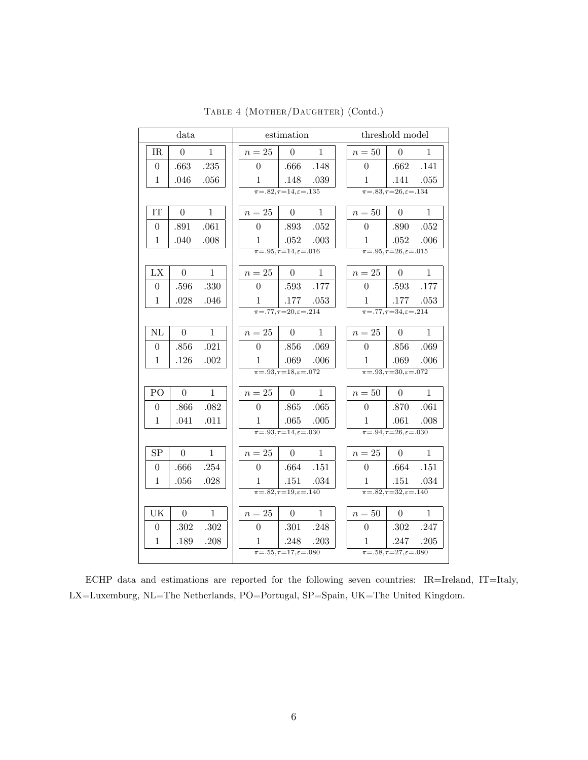|                  | data           |              |                | estimation                                            |              |                | threshold model                                    |              |
|------------------|----------------|--------------|----------------|-------------------------------------------------------|--------------|----------------|----------------------------------------------------|--------------|
| IR               | $\overline{0}$ | $\mathbf{1}$ | $n=25$         | $\overline{0}$                                        | $\mathbf{1}$ | $n=50$         | $\overline{0}$                                     | 1            |
| $\boldsymbol{0}$ | .663           | .235         | $\theta$       | .666                                                  | .148         | $\overline{0}$ | .662                                               | .141         |
| $\mathbf{1}$     | .046           | .056         | 1              | .148                                                  | .039         | 1              | .141                                               | .055         |
|                  |                |              |                | $\pi = .82, \tau = 14, \epsilon = .135$               |              |                | $\pi = 0.83, \tau = 26, \epsilon = 0.134$          |              |
| IT               | $\overline{0}$ | $\mathbf{1}$ | $n=25$         | $\overline{0}$                                        | $\mathbf{1}$ | $n=50$         | $\overline{0}$                                     | $\mathbf{1}$ |
| $\boldsymbol{0}$ | .891           | .061         | $\overline{0}$ | .893                                                  | .052         | $\overline{0}$ | .890                                               | .052         |
| $\mathbf{1}$     | .040           | .008         | 1              | .052                                                  | .003         | 1              | .052                                               | .006         |
|                  |                |              |                | $\pi = .95, \tau = 14, \varepsilon = .016$            |              |                | $\pi = .95, \tau = 26, \epsilon = .015$            |              |
| LX               | $\overline{0}$ | $\mathbf{1}$ | $n=25$         | $\theta$                                              | $\mathbf{1}$ | $n=25$         | $\theta$                                           | $\mathbf{1}$ |
| $\theta$         | .596           | .330         | $\theta$       | .593                                                  | .177         | $\overline{0}$ | .593                                               | .177         |
| $\mathbf{1}$     | .028           | .046         | $\mathbf{1}$   | .177                                                  | .053         | 1              | .177                                               | .053         |
|                  |                |              |                | $\pi = .77, \tau = 20, \varepsilon = .214$            |              |                | $\pi = .77, \tau = 34, \varepsilon = .214$         |              |
| NL               | $\overline{0}$ | $\mathbf{1}$ | $n=25$         | $\theta$                                              | $\mathbf{1}$ | $n=25$         | $\overline{0}$                                     | $\mathbf{1}$ |
| $\overline{0}$   | .856           | .021         | $\overline{0}$ | .856                                                  | .069         | $\overline{0}$ | .856                                               | .069         |
| $\mathbf{1}$     | .126           | .002         | 1              | .069                                                  | .006         | 1              | .069                                               | .006         |
|                  |                |              |                | $\overline{\pi = .93, \tau = 18, \varepsilon = .072}$ |              |                | $\pi = .93, \tau = 30, \varepsilon = .072$         |              |
| PO               | $\overline{0}$ | $\mathbf{1}$ | $n=25$         | $\theta$                                              | $\mathbf{1}$ | $n=50$         | $\theta$                                           | $\mathbf{1}$ |
| $\overline{0}$   | .866           | .082         | $\overline{0}$ | .865                                                  | .065         | $\overline{0}$ | .870                                               | .061         |
| $\mathbf{1}$     | .041           | .011         | 1              | .065                                                  | .005         | 1              | .061                                               | .008         |
|                  |                |              |                | $\overline{\pi = .93, \tau = 14, \varepsilon = .030}$ |              |                | $\overline{\pi = .94, \tau = 26, \epsilon = .030}$ |              |
| SP               | $\overline{0}$ | $\mathbf{1}$ | $n=25$         | $\overline{0}$                                        | $\mathbf{1}$ | $n=25$         | $\theta$                                           | $\mathbf{1}$ |
| $\theta$         | .666           | .254         | $\overline{0}$ | .664                                                  | .151         | $\overline{0}$ | .664                                               | .151         |
| $\mathbf{1}$     | .056           | .028         | 1              | .151                                                  | .034         | $\mathbf{1}$   | .151                                               | .034         |
|                  |                |              |                | $\overline{\pi = 0.82, \tau = 19, \epsilon = 0.140}$  |              |                | $\pi = .82, \tau = 32, \varepsilon = .140$         |              |
| UK               | $\theta$       | $\mathbf{1}$ | $n=25$         | $\overline{0}$                                        | $\mathbf{1}$ | $n=50$         | $\theta$                                           | 1            |
| $\overline{0}$   | .302           | .302         | $\overline{0}$ | .301                                                  | .248         | $\overline{0}$ | .302                                               | .247         |
| $\mathbf{1}$     | .189           | .208         | $\mathbf{1}$   | .248                                                  | .203         | 1              | .247                                               | .205         |
|                  |                |              |                | $\pi = .55, \tau = 17, \varepsilon = .080$            |              |                | $\pi = .58, \tau = 27, \varepsilon = .080$         |              |

TABLE 4 (MOTHER/DAUGHTER) (Contd.)

ECHP data and estimations are reported for the following seven countries: IR=Ireland, IT=Italy,  $\text{LX} \text{=} \text{Luxemburg, NL} \text{=} \text{The Netherlands, PO} \text{=} \text{Portugal, SP} \text{=} \text{Spin, UK} \text{=} \text{The United Kingdom.}$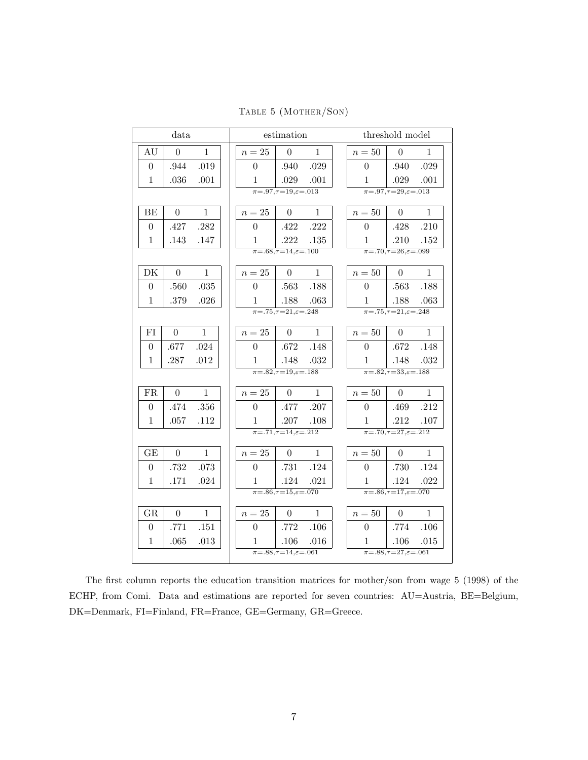TABLE 5 (MOTHER/SON)

| data                                   |                | estimation                                              |              |                | threshold model                                           |              |
|----------------------------------------|----------------|---------------------------------------------------------|--------------|----------------|-----------------------------------------------------------|--------------|
| AU<br>$\theta$<br>$\mathbf{1}$         | $n=25$         | $\boldsymbol{0}$                                        | 1            | $n=50$         | $\theta$                                                  | 1            |
| .944<br>.019<br>$\boldsymbol{0}$       | $\overline{0}$ | .940                                                    | .029         | $\overline{0}$ | .940                                                      | .029         |
| 1<br>.036<br>$.001\,$                  | 1              | .029                                                    | .001         | $\mathbf{1}$   | .029                                                      | .001         |
|                                        |                | $\overline{\pi=0.97,\tau=19,\varepsilon=0.013}$         |              |                | $\overline{\pi=0.97}, \overline{\tau=29}, \epsilon=0.013$ |              |
| $\overline{0}$<br>BE<br>$\mathbf{1}$   | $n=25$         | $\Omega$                                                | $\mathbf{1}$ | $n=50$         | $\Omega$                                                  | $\mathbf{1}$ |
| .427<br>.282<br>$\theta$               | $\theta$       | .422                                                    | .222         | $\theta$       | .428                                                      | .210         |
| 1<br>.143<br>.147                      | 1              | .222                                                    | .135         | 1              | .210                                                      | .152         |
|                                        |                | $\pi = .68, \tau = 14, \varepsilon = .100$              |              |                | $\pi = .70, \tau = 26, \epsilon = .099$                   |              |
| DK<br>$\overline{0}$<br>$\mathbf{1}$   | $n=25$         | $\Omega$                                                | $\mathbf{1}$ | $n=50$         | $\theta$                                                  | $\mathbf{1}$ |
| .560<br>.035<br>$\overline{0}$         | $\overline{0}$ | .563                                                    | .188         | $\theta$       | .563                                                      | .188         |
| 1<br>.379<br>.026                      | 1              | .188                                                    | .063         | 1              | .188                                                      | .063         |
|                                        |                | $\pi = .75, \tau = 21, \varepsilon = .248$              |              |                | $\pi = .75, \tau = 21, \varepsilon = .248$                |              |
| FI<br>$\overline{0}$<br>$\mathbf{1}$   | $n=25$         | $\theta$                                                | $\mathbf{1}$ | $n=50$         | $\Omega$                                                  | $\mathbf{1}$ |
| .677<br>.024<br>$\theta$               | $\theta$       | .672                                                    | .148         | $\theta$       | .672                                                      | .148         |
| 1<br>.287<br>.012                      | 1              | .148                                                    | .032         | 1              | .148                                                      | .032         |
|                                        |                | $\pi = 0.82, \tau = 19, \varepsilon = 0.188$            |              |                | $\pi = .82, \tau = 33, \varepsilon = .188$                |              |
| FR<br>$\overline{0}$<br>$\mathbf{1}$   | $n=25$         | $\theta$                                                | $\mathbf{1}$ | $n=50\,$       | $\theta$                                                  | $\mathbf{1}$ |
| .356<br>.474<br>$\theta$               | $\theta$       | .477                                                    | .207         | $\theta$       | .469                                                      | .212         |
| 1<br>.057<br>.112                      | 1              | .207                                                    | .108         | 1              | .212                                                      | .107         |
|                                        |                | $\overline{\pi = 0.71, \tau = 14, \varepsilon = 0.212}$ |              |                | $\pi = .70, \tau = 27, \varepsilon = .212$                |              |
| GE<br>$\boldsymbol{0}$<br>$\mathbf{1}$ | $n=25$         | $\theta$                                                | $\mathbf{1}$ | $n=50$         | $\overline{0}$                                            | $\mathbf{1}$ |
| .732<br>.073<br>$\theta$               | $\overline{0}$ | .731                                                    | .124         | $\overline{0}$ | .730                                                      | .124         |
| .171<br>1<br>.024                      | $\mathbf{1}$   | .124                                                    | .021         | 1              | .124                                                      | .022         |
|                                        |                | $\pi = .86, \tau = 15, \varepsilon = .070$              |              |                | $\overline{\pi = 0.86, \tau = 17, \varepsilon = 0.070}$   |              |
| GR<br>$\mathbf{1}$<br>$\boldsymbol{0}$ | $n=25$         | $\overline{0}$                                          | $\mathbf{1}$ | $n=50$         | $\theta$                                                  | $\mathbf{1}$ |
| .771<br>.151<br>$\overline{0}$         | $\overline{0}$ | .772                                                    | .106         | $\overline{0}$ | .774                                                      | .106         |
| .065<br>.013<br>1                      | $\mathbf{1}$   | .106                                                    | .016         | $\mathbf{1}$   | .106                                                      | .015         |
|                                        |                | $\pi = .88, \tau = 14, \varepsilon = .061$              |              |                | $\pi = .88, \tau = 27, \varepsilon = .061$                |              |

The first column reports the education transition matrices for mother/son from wage 5 (1998) of the ECHP, from Comi. Data and estimations are reported for seven countries: AU=Austria, BE=Belgium,  $\rm DK\!\!=\!\!Denmark, FI\!\!=\!\!Finland, FR\!\!=\!\!France, GE\!\!=\!\!Germany, GR\!\!=\!\!Green.$